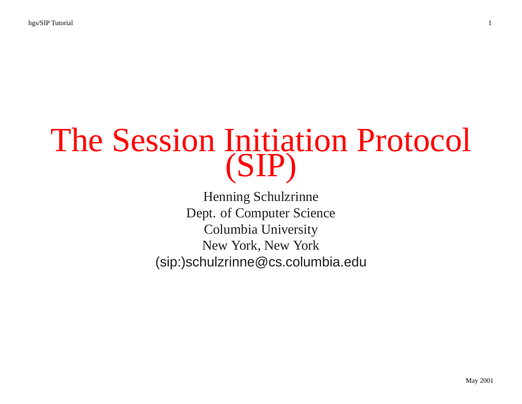# The Session Initiation Protocol (SIP)

Henning Schulzrinne Dept. of Computer Science Columbia University New York, New York (sip:)schulzrinne@cs.columbia.edu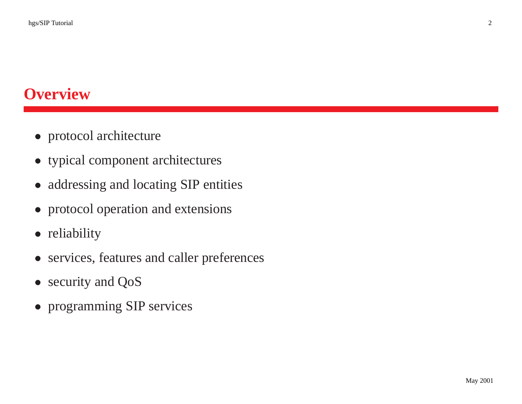# **Overview**

- protocol architecture
- typical componen<sup>t</sup> architectures
- addressing and locating SIP entities
- protocol operation and extensions
- reliability
- services, features and caller preferences
- security and QoS
- programming SIP services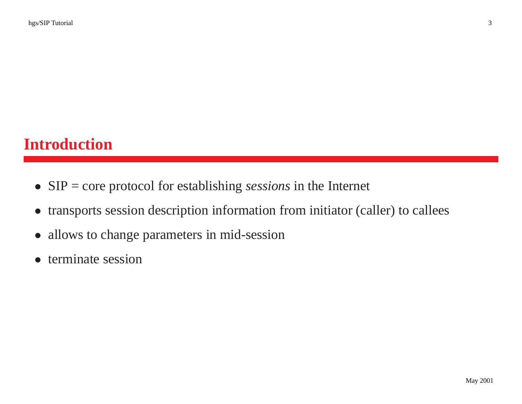# **Introduction**

- SIP <sup>=</sup> core protocol for establishing *sessions* in the Internet
- $\bullet$ transports session description information from initiator (caller) to callees
- $\bullet$ allows to change parameters in mid-session
- terminate session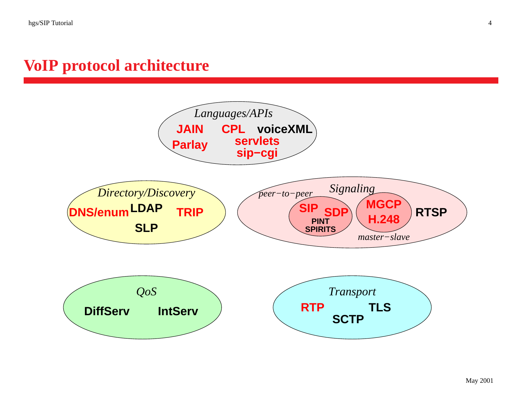#### **VoIP protocol architecture**

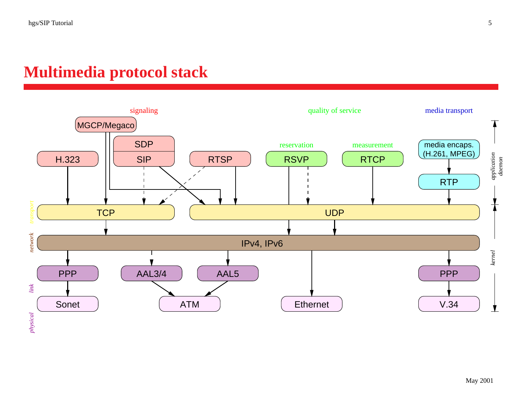#### **Multimedia protocol stack**

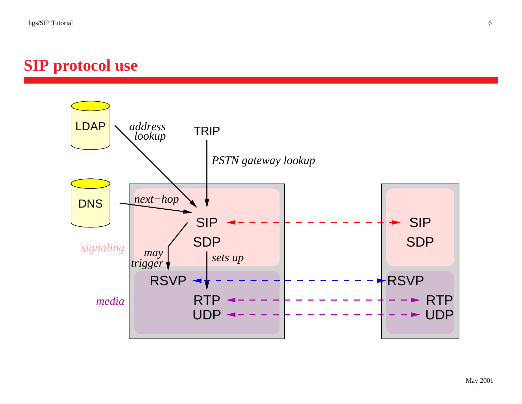# **SIP protocol use**

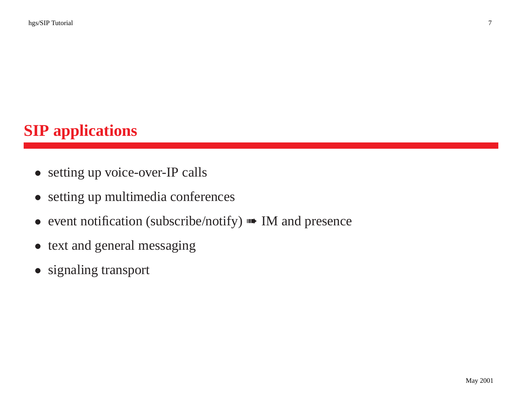# **SIP applications**

- setting up voice-over-IP calls
- setting up multimedia conferences
- event notification (subscribe/notify) M and presence
- text and general messaging
- signaling transport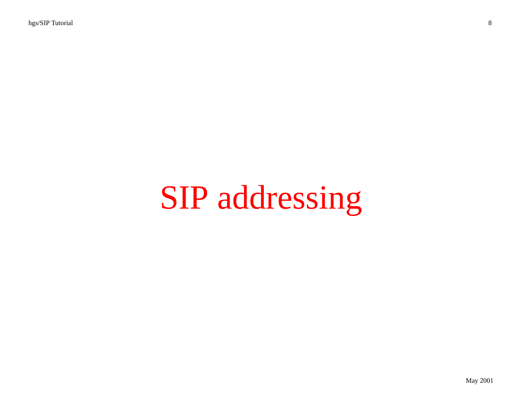# SIP addressing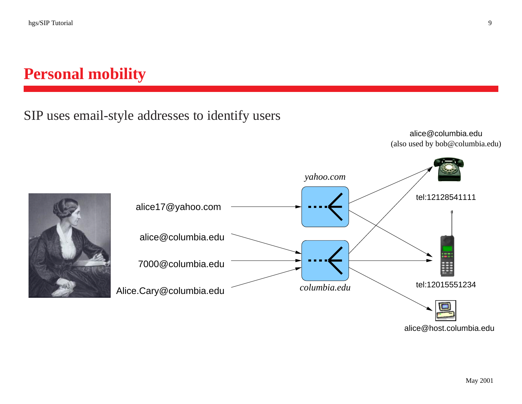# **Personal mobility**

#### SIP uses email-style addresses to identify users

alice@columbia.edu (also used by bob@columbia.edu)





alice@host.columbia.edu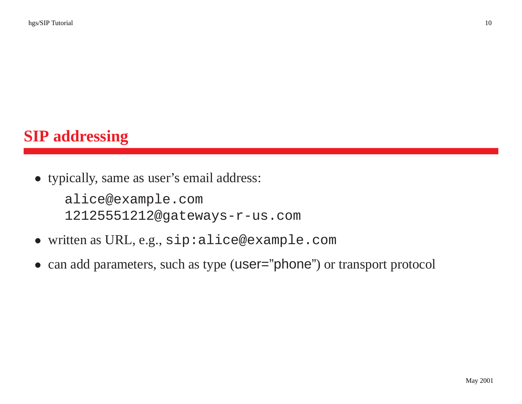# **SIP addressing**

• typically, same as user's email address:

alice@example.com 12125551212@gateways-r-us.com

- written as URL, e.g., sip:alice@example.com
- can add parameters, such as type (user="phone") or transport protocol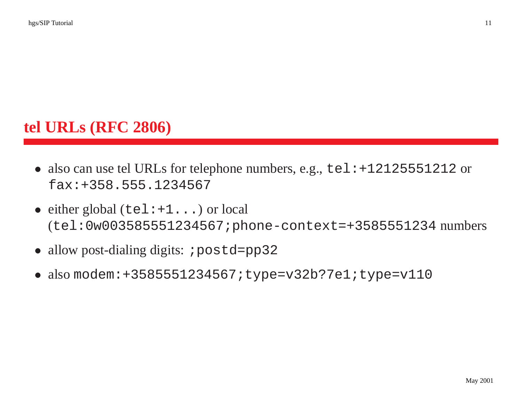# **tel URLs (RFC 2806)**

- also can use tel URLs for telephone numbers, e.g., tel: +12125551212 or fax:+358.555.1234567
- either global (tel: +1...) or local (tel:0w003585551234567;phone-context=+3585551234 numbers
- allow post-dialing digits: ; postd=pp32
- also modem:+3585551234567;type=v32b?7e1;type=v110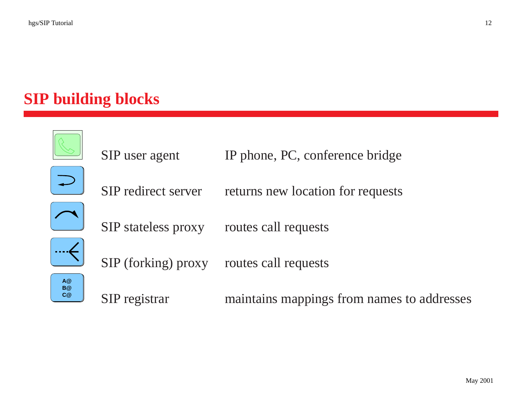# **SIP building blocks**

|                | SIP user agent             | IP phone, PC, conference bridge            |
|----------------|----------------------------|--------------------------------------------|
|                | SIP redirect server        | returns new location for requests          |
|                | <b>SIP</b> stateless proxy | routes call requests                       |
|                | SIP (forking) proxy        | routes call requests                       |
| A@<br>B@<br>C@ | SIP registrar              | maintains mappings from names to addresses |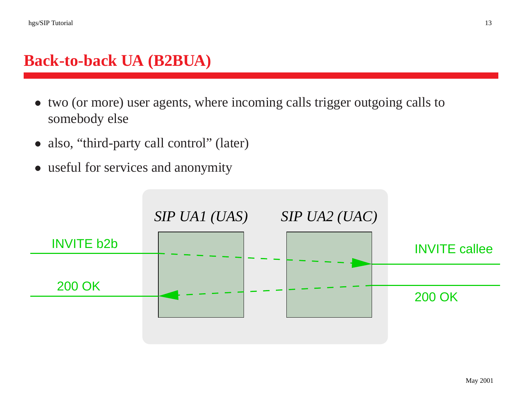#### **Back-to-back UA (B2BUA)**

- two (or more) user agents, where incoming calls trigger outgoing calls to somebody else
- also, "third-party call control" (later)
- useful for services and anonymity

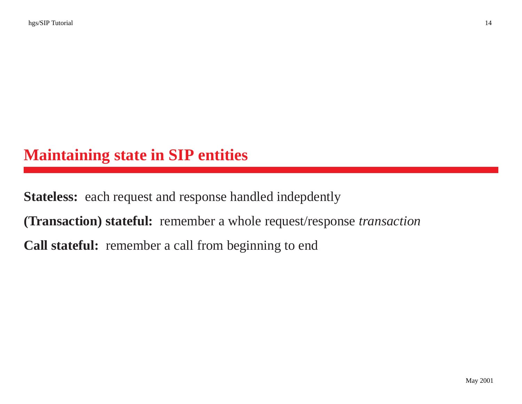# **Maintaining state in SIP entities**

**Stateless:** each reques<sup>t</sup> and response handled indepdently **(Transaction) stateful:** remember <sup>a</sup> whole request/response *transaction* **Call stateful:** remember <sup>a</sup> call from beginning to end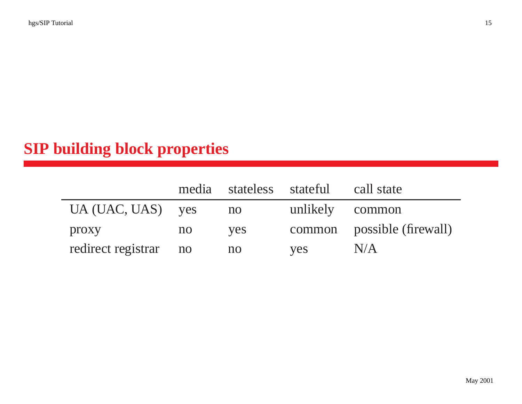# **SIP building block properties**

|                       |    |     | media stateless stateful call state |                            |
|-----------------------|----|-----|-------------------------------------|----------------------------|
| $UA (UAC, UAS)$ yes   |    | no  |                                     | unlikely common            |
| proxy                 | no | yes |                                     | common possible (firewall) |
| redirect registrar no |    | no  | yes                                 | N/A                        |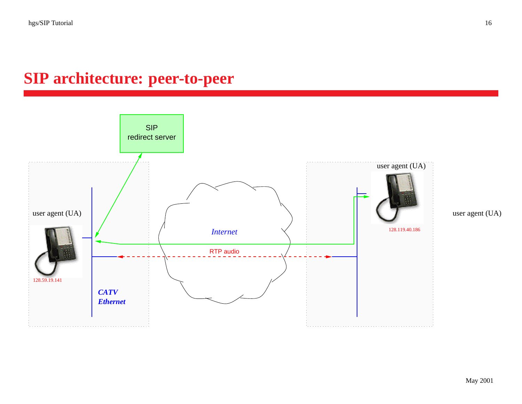## **SIP architecture: peer-to-peer**

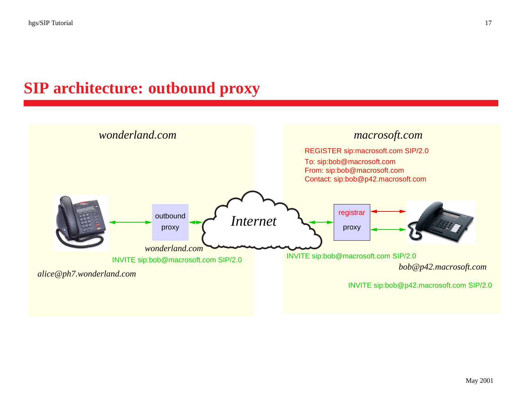## **SIP architecture: outbound proxy**

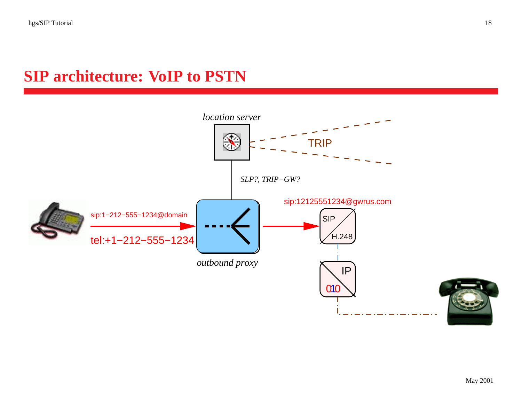# **SIP architecture: VoIP to PSTN**

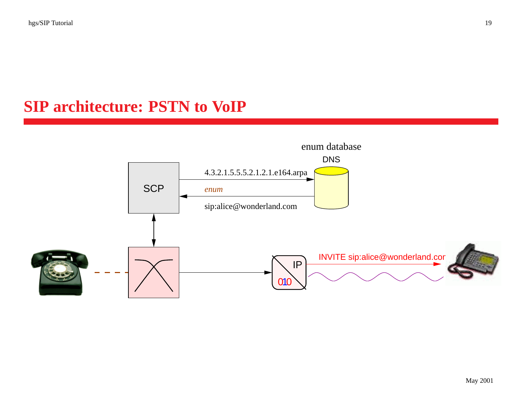# **SIP architecture: PSTN to VoIP**

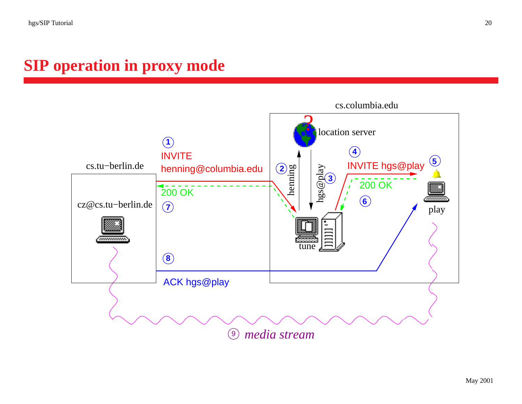#### **SIP operation in proxy mode**

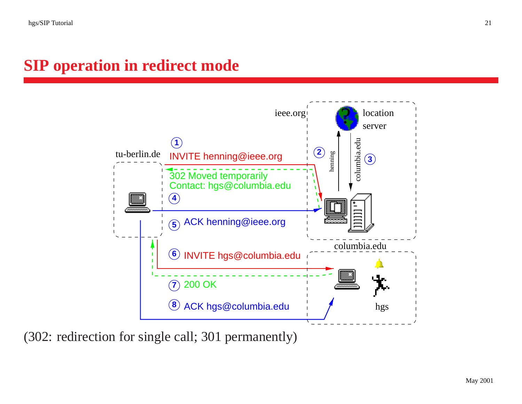#### **SIP operation in redirect mode**



(302: redirection for single call; 301 permanently)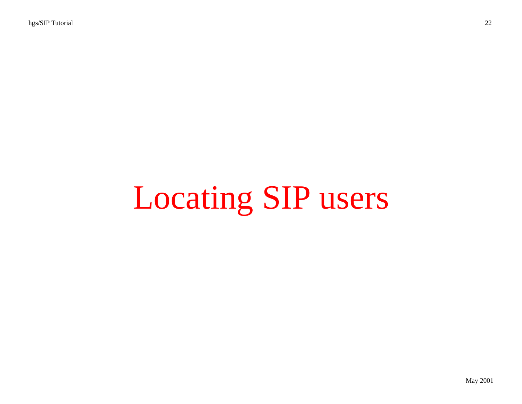# Locating SIP users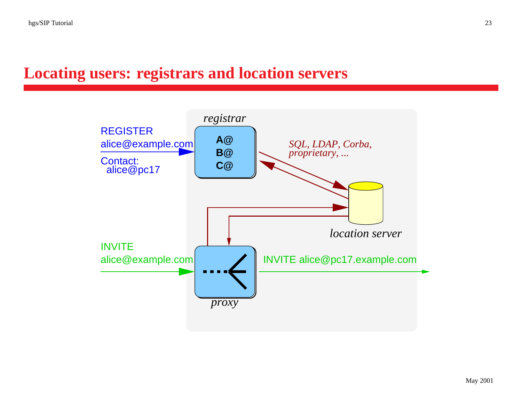#### **Locating users: registrars and location servers**

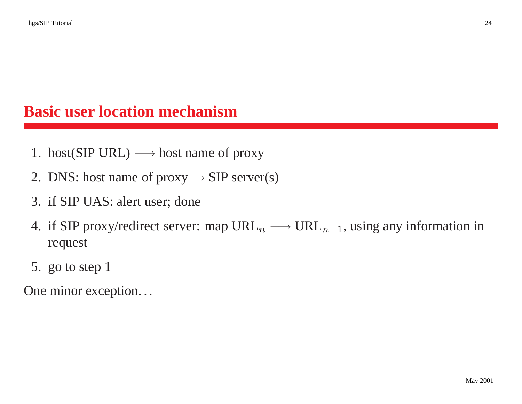## **Basic user location mechanism**

- 1. host(SIP URL)  $\longrightarrow$  host name of proxy
- 2. DNS: host name of proxy  $\rightarrow$  SIP server(s)
- 3. if SIP UAS: alert user; done
- 4. if SIP proxy/redirect server: map  $URL_n \longrightarrow URL_{n+1}$ , using any information in request
- 5. go to step 1

One minor exception. . .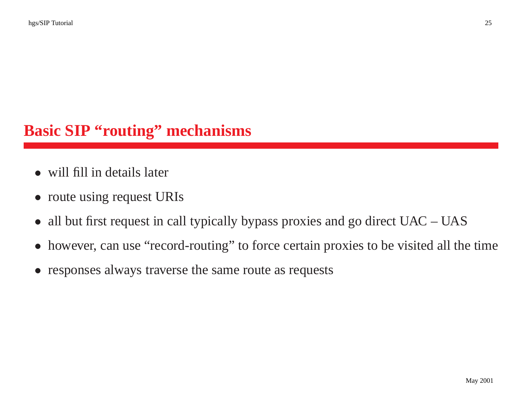# **Basic SIP "routing" mechanisms**

- will fill in details later
- route using request URIs
- all but first request in call typically bypass proxies and go direct UAC UAS
- $\bullet$ however, can use "record-routing" to force certain proxies to be visited all the time
- responses always traverse the same route as requests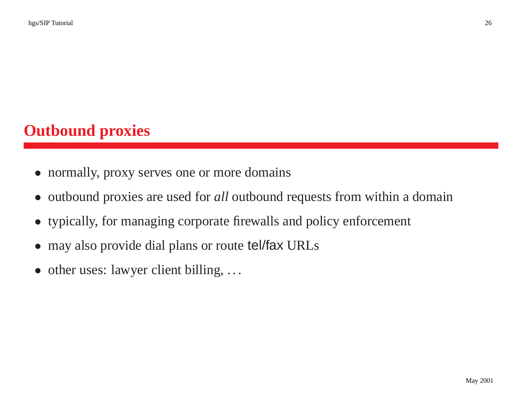# **Outbound proxies**

- normally, proxy serves one or more domains
- outbound proxies are used for *all* outbound requests from within <sup>a</sup> domain
- typically, for managing corporate firewalls and policy enforcement
- may also provide dial plans or route tel/fax URLs
- other uses: lawyer client billing, ...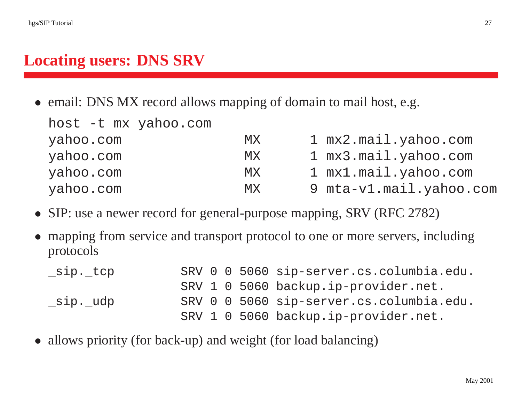#### **Locating users: DNS SRV**

• email: DNS MX record allows mapping of domain to mail host, e.g.

| host -t mx yahoo.com |           |                         |
|----------------------|-----------|-------------------------|
| yahoo.com            | MX.       | 1 mx2.mail.yahoo.com    |
| yahoo.com            | MX        | 1 mx3.mail.yahoo.com    |
| yahoo.com            | <b>MX</b> | 1 mx1.mail.yahoo.com    |
| yahoo.com            | MX        | 9 mta-v1.mail.yahoo.com |

- SIP: use a newer record for general-purpose mapping, SRV (RFC 2782)
- • mapping from service and transport protocol to one or more servers, including protocols

| _sip._tcp |  |  | SRV 0 0 5060 sip-server.cs.columbia.edu. |
|-----------|--|--|------------------------------------------|
|           |  |  | SRV 1 0 5060 backup.ip-provider.net.     |
| _sip._udp |  |  | SRV 0 0 5060 sip-server.cs.columbia.edu. |
|           |  |  | SRV 1 0 5060 backup.ip-provider.net.     |

• allows priority (for back-up) and weight (for load balancing)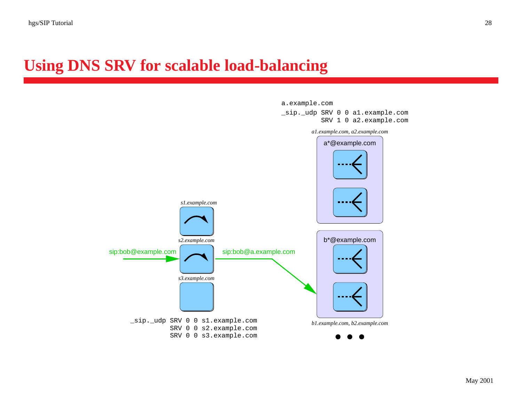#### **Using DNS SRV for scalable load-balancing**

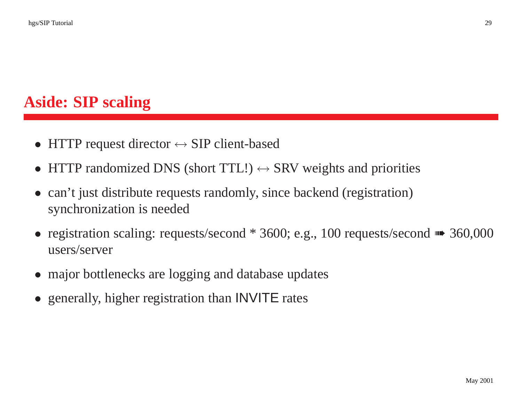# **Aside: SIP scaling**

- •HTTP request director  $\leftrightarrow$  SIP client-based
- HTTP randomized DNS (short TTL!)  $\leftrightarrow$  SRV weights and priorities
- can't just distribute requests randomly, since backend (registration) synchronization is needed
- registration scaling: requests/second \* 3600; e.g., 100 requests/second •• 360,000 users/server
- major bottlenecks are logging and database updates
- generally, higher registration than **INVITE** rates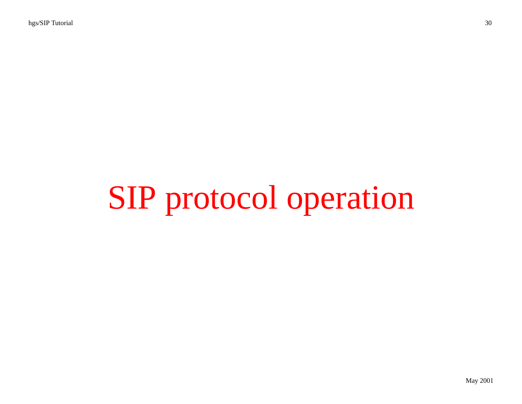# SIP protocol operation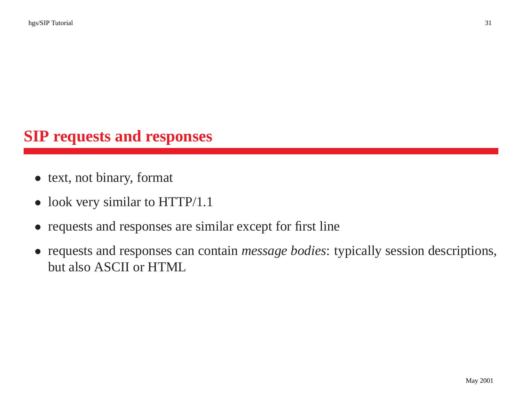#### **SIP requests and responses**

- text, not binary, format
- look very similar to HTTP/1.1
- requests and responses are similar except for first line
- requests and responses can contain *message bodies*: typically session descriptions, but also ASCII or HTML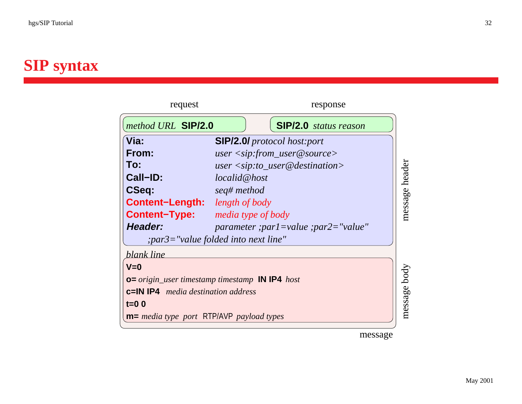# **SIP syntax**

| request                                                       | response                                    |         |  |  |
|---------------------------------------------------------------|---------------------------------------------|---------|--|--|
| method URL SIP/2.0                                            | <b>SIP/2.0</b> status reason                |         |  |  |
| √Via:                                                         | <b>SIP/2.0/</b> protocol host:port          |         |  |  |
| From:                                                         | $user <$ sip:from_user@source>              |         |  |  |
| To:                                                           | $user <$ sip:to_user@destination>           |         |  |  |
| Call-ID:                                                      | localid@host                                | header  |  |  |
| <b>CSeq:</b>                                                  | seq# method                                 |         |  |  |
| <b>Content-Length:</b>                                        | length of body                              | message |  |  |
| <b>Content-Type:</b>                                          | <i>media type of body</i>                   |         |  |  |
| Header:                                                       | $parameter$ ; parl = value ; parl = "value" |         |  |  |
|                                                               | ; par3="value folded into next line"        |         |  |  |
| blank line                                                    |                                             |         |  |  |
| $V=0$                                                         |                                             |         |  |  |
| <b>0</b> = origin_user timestamp timestamp <b>IN IP4</b> host |                                             |         |  |  |
| <b>c=IN IP4</b> <i>media destination address</i>              |                                             |         |  |  |
| message body<br>$t=0$ 0                                       |                                             |         |  |  |
| <b>m</b> = media type port RTP/AVP payload types              |                                             |         |  |  |
|                                                               |                                             |         |  |  |

message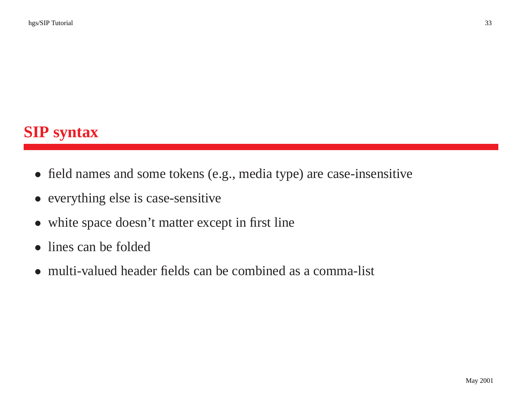- field names and some tokens (e.g., media type) are case-insensitive
- everything else is case-sensitive
- white space doesn't matter except in first line
- lines can be folded
- multi-valued header fields can be combined as a comma-list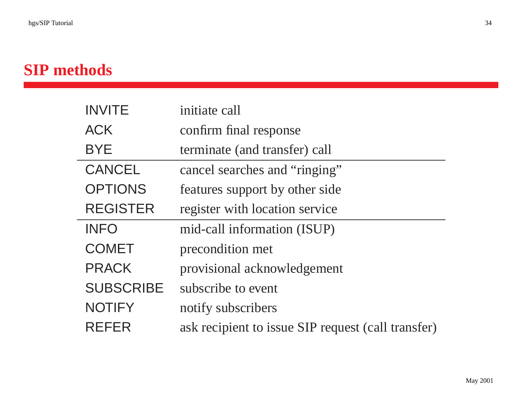# **SIP methods**

| <b>INVITE</b>    | initiate call                                      |
|------------------|----------------------------------------------------|
| <b>ACK</b>       | confirm final response                             |
| <b>BYE</b>       | terminate (and transfer) call                      |
| <b>CANCEL</b>    | cancel searches and "ringing"                      |
| <b>OPTIONS</b>   | features support by other side                     |
| <b>REGISTER</b>  | register with location service                     |
| <b>INFO</b>      | mid-call information (ISUP)                        |
| <b>COMET</b>     | precondition met                                   |
| <b>PRACK</b>     | provisional acknowledgement                        |
| <b>SUBSCRIBE</b> | subscribe to event                                 |
| <b>NOTIFY</b>    | notify subscribers                                 |
| <b>REFER</b>     | ask recipient to issue SIP request (call transfer) |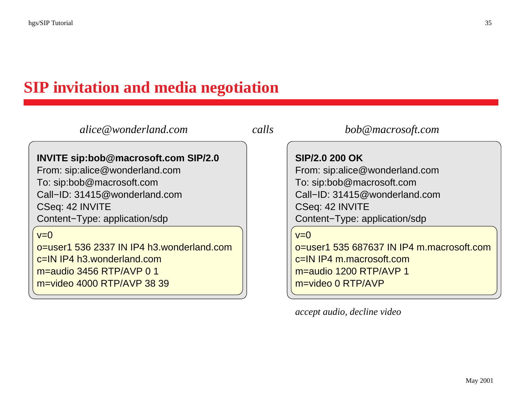# **SIP invitation and media negotiation**

| alice@wonderland.com                                                                                                                                                                     |  | bob@macrosoft.com                                                                                                                                                  |
|------------------------------------------------------------------------------------------------------------------------------------------------------------------------------------------|--|--------------------------------------------------------------------------------------------------------------------------------------------------------------------|
| INVITE sip:bob@macrosoft.com SIP/2.0<br>From: sip:alice@wonderland.com<br>To: sip:bob@macrosoft.com<br>Call-ID: 31415@wonderland.com<br>CSeq: 42 INVITE<br>Content-Type: application/sdp |  | SIP/2.0 200 OK<br>From: sip:alice@wonderland.com<br>To: sip:bob@macrosoft.com<br>Call-ID: 31415@wonderland.com<br>CSeq: 42 INVITE<br>Content-Type: application/sdp |
| $v=0$<br>o=user1 536 2337 IN IP4 h3.wonderland.com<br>c=IN IP4 h3.wonderland.com<br>m=audio 3456 RTP/AVP 0 1<br>m=video 4000 RTP/AVP 38 39                                               |  | $v=0$<br>o=user1 535 687637 IN IP4 m.macrosoft.com<br>c=IN IP4 m.macrosoft.com<br>m=audio 1200 RTP/AVP 1<br>m=video 0 RTP/AVP                                      |

*accept audio, decline video*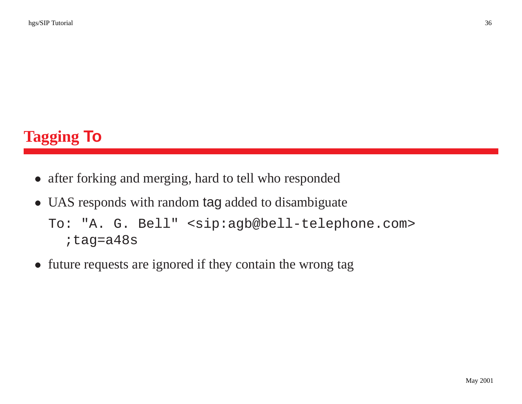# **Tagging To**

- after forking and merging, hard to tell who responded
- UAS responds with random tag added to disambiguate

```
To: "A. G. Bell" <sip:agb@bell-telephone.com>
;tag=a48s
```
• future requests are ignored if they contain the wrong tag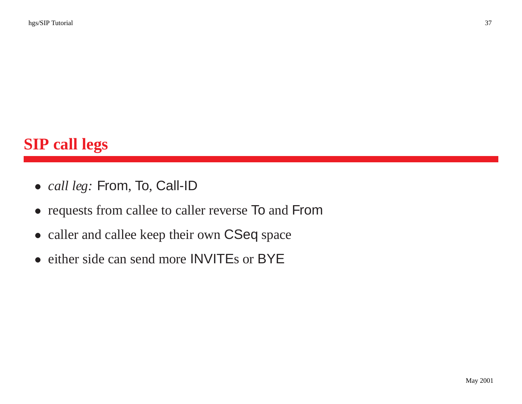#### **SIP call legs**

- *call leg:* From, To, Call-ID
- requests from callee to caller reverse To and From
- caller and callee keep their own CSeq space
- either side can send more **INVITE**s or BYE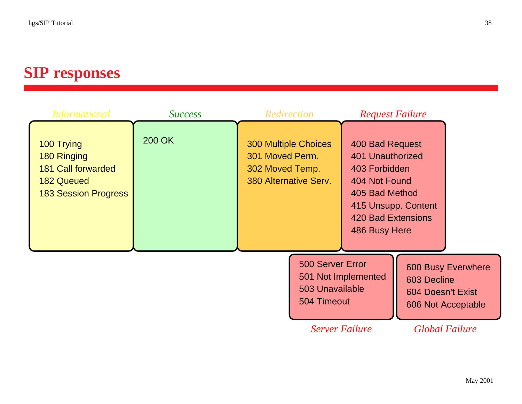#### **SIP responses**

| <i>Informational</i>                                                                                       | <b>Success</b> | Redirection                                                                                |                                                    | <b>Request Failure</b>                                                                                                                                |                                  |                                                 |
|------------------------------------------------------------------------------------------------------------|----------------|--------------------------------------------------------------------------------------------|----------------------------------------------------|-------------------------------------------------------------------------------------------------------------------------------------------------------|----------------------------------|-------------------------------------------------|
| 100 Trying<br>180 Ringing<br><b>181 Call forwarded</b><br><b>182 Queued</b><br><b>183 Session Progress</b> | 200 OK         | <b>300 Multiple Choices</b><br>301 Moved Perm.<br>302 Moved Temp.<br>380 Alternative Serv. |                                                    | 400 Bad Request<br>401 Unauthorized<br>403 Forbidden<br>404 Not Found<br>405 Bad Method<br>415 Unsupp. Content<br>420 Bad Extensions<br>486 Busy Here |                                  |                                                 |
|                                                                                                            |                |                                                                                            | 500 Server Error<br>503 Unavailable<br>504 Timeout | 501 Not Implemented                                                                                                                                   | 603 Decline<br>604 Doesn't Exist | <b>600 Busy Everwhere</b><br>606 Not Acceptable |
|                                                                                                            |                |                                                                                            | <b>Server Failure</b>                              |                                                                                                                                                       |                                  | <b>Global Failure</b>                           |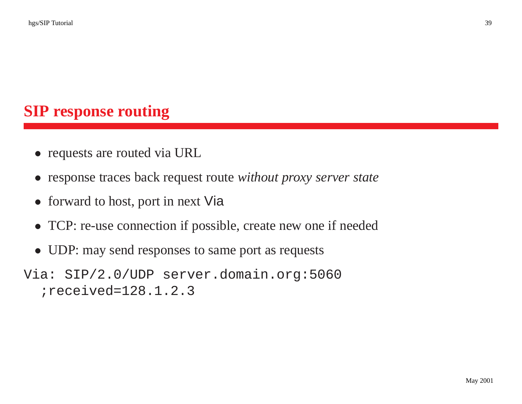#### **SIP response routing**

- requests are routed via URL
- response traces back reques<sup>t</sup> route *without proxy server state*
- forward to host, port in next Via
- TCP: re-use connection if possible, create new one if needed
- UDP: may send responses to same port as requests
- Via: SIP/2.0/UDP server.domain.org:5060 ;received=128.1.2.3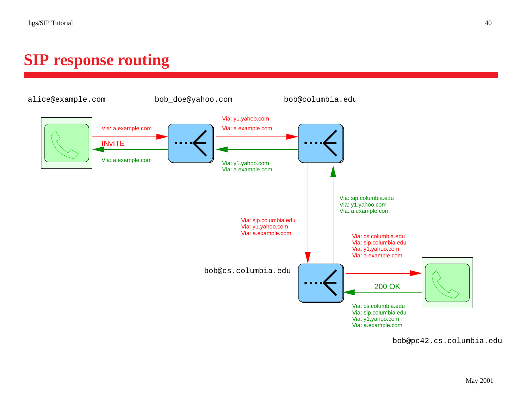#### **SIP response routing**



bob@pc42.cs.columbia.edu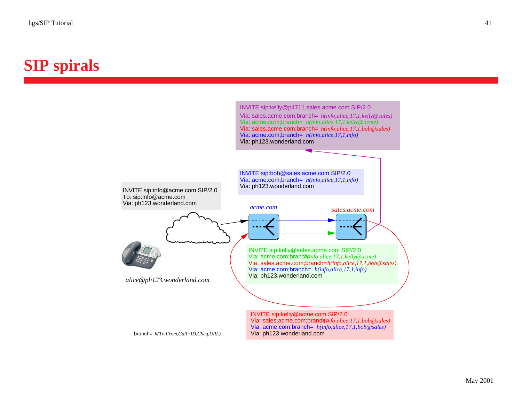#### **SIP spirals**

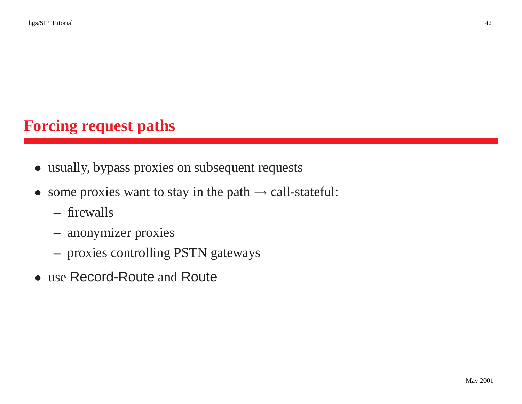#### **Forcing request paths**

- usually, bypass proxies on subsequent requests
- some proxies want to stay in the path  $\rightarrow$  call-stateful:
	- **–** firewalls
	- anonymizer proxies
	- proxies controlling PSTN gateways
- use Record-Route and Route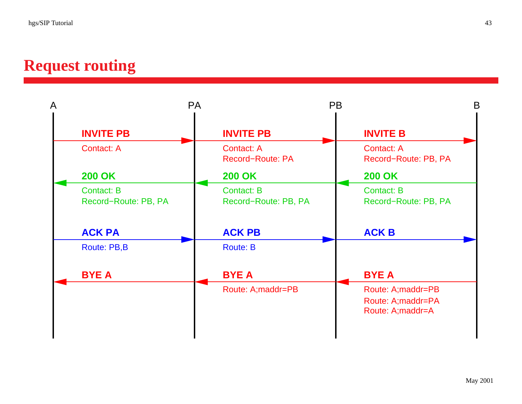#### **Request routing**

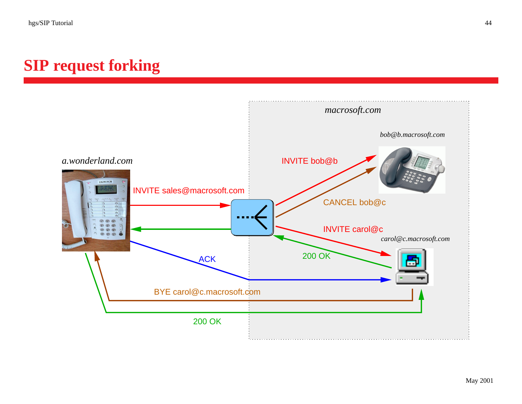#### **SIP request forking**

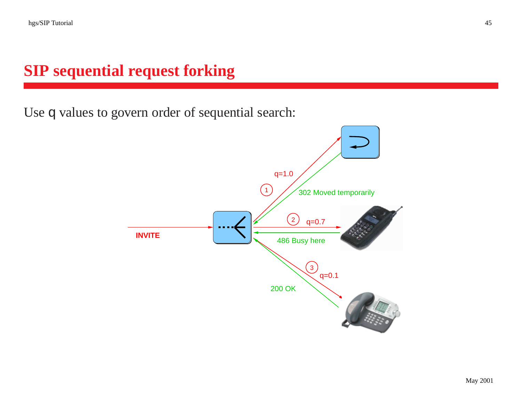#### **SIP sequential request forking**

Use q values to govern order of sequential search:

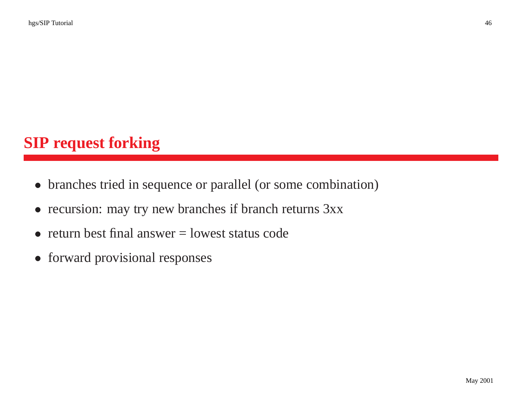#### **SIP request forking**

- branches tried in sequence or parallel (or some combination)
- recursion: may try new branches if branch returns  $3xx$
- return best final answer  $=$  lowest status code
- forward provisional responses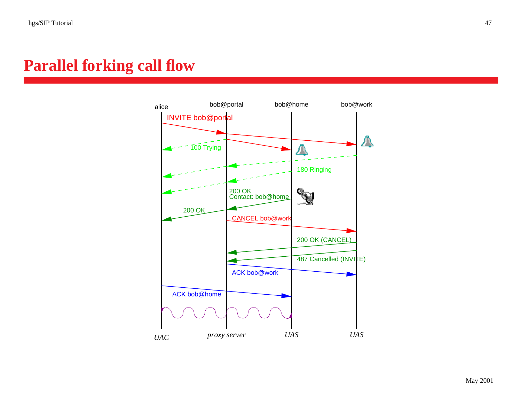#### **Parallel forking call flow**

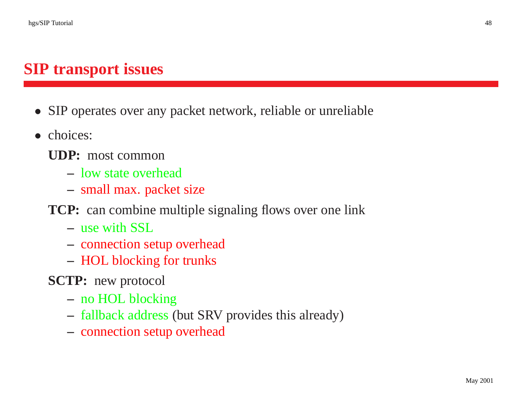#### **SIP transport issues**

- SIP operates over any packet network, reliable or unreliable
- choices:
	- **UDP:** most common
		- **–** low state overhead
		- small max. packet size
	- **TCP:** can combine multiple signaling flows over one link
		- **–** use with SSL
		- connection setup overhead
		- HOL blocking for trunks
	- **SCTP:** new protocol
		- no HOL blocking
		- fallback address (but SRV provides this already)
		- connection setup overhead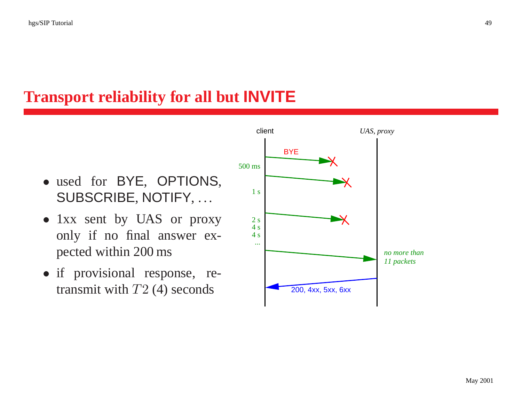#### **Transport reliability for all but INVITE**

- used for BYE, OPTIONS, SUBSCRIBE, NOTIFY, ...
- 1xx sent by UAS or proxy only if no final answer expected within 200 ms
- if provisional response, retransmit with  $T2(4)$  seconds

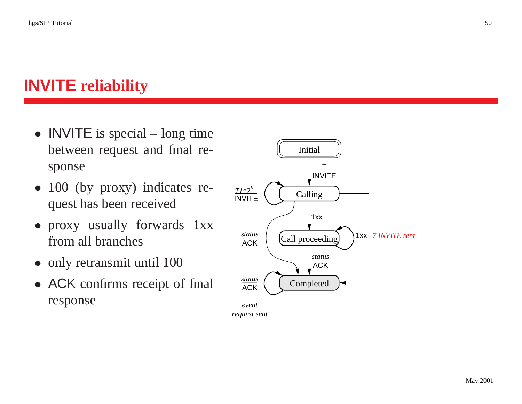## **INVITE reliability**

- **INVITE** is special long time between reques<sup>t</sup> and final response
- 100 (by proxy) indicates reques<sup>t</sup> has been received
- proxy usually forwards 1xx from all branches
- only retransmit until 100
- ACK confirms receipt of final response



*request sent*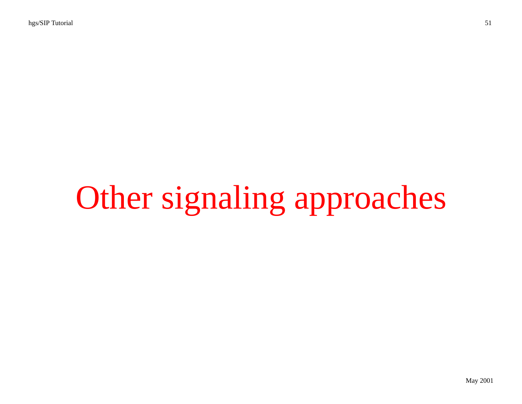# Other signaling approaches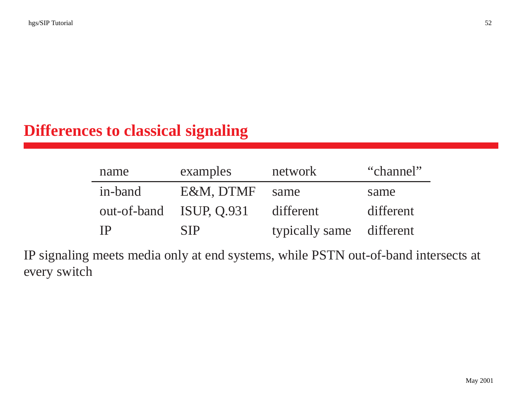#### **Differences to classical signaling**

| name      | examples                | network                  | "channel" |
|-----------|-------------------------|--------------------------|-----------|
| in-band   | E&M. DTMF               | same                     | same      |
|           | out-of-band ISUP, 0.931 | different                | different |
| <b>TP</b> | <b>SIP</b>              | typically same different |           |

IP signaling meets media only at end systems, while PSTN out-of-band intersects at every switch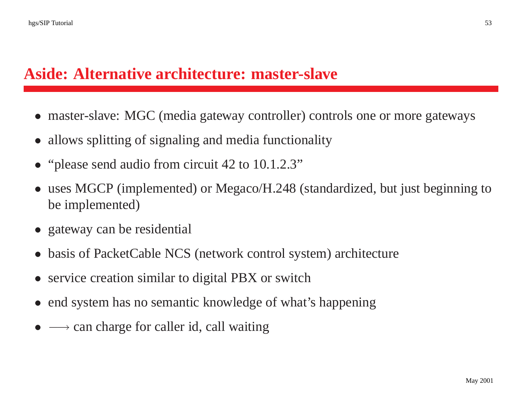#### **Aside: Alternative architecture: master-slave**

- master-slave: MGC (media gateway controller) controls one or more gateways
- allows splitting of signaling and media functionality
- "please send audio from circuit 42 to 10.1.2.3"
- • uses MGCP (implemented) or Megaco/H.248 (standardized, but just beginning to be implemented)
- gateway can be residential
- •basis of PacketCable NCS (network control system) architecture
- service creation similar to digital PBX or switch
- end system has no semantic knowledge of what's happening
- $\longrightarrow$  can charge for caller id, call waiting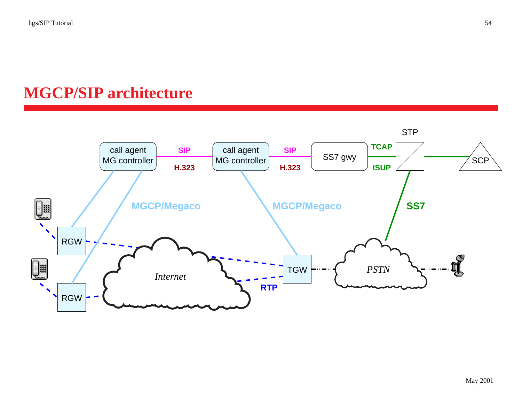#### **MGCP/SIP architecture**

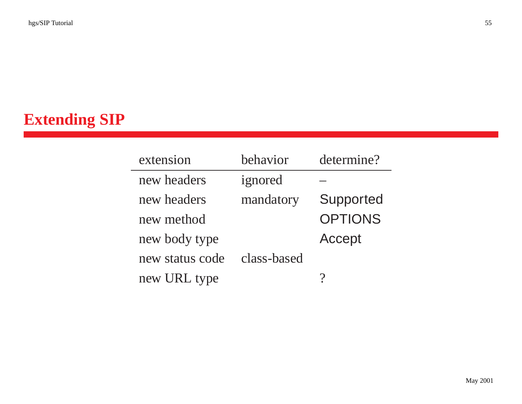## **Extending SIP**

| extension       | behavior    | determine?     |
|-----------------|-------------|----------------|
| new headers     | ignored     |                |
| new headers     | mandatory   | Supported      |
| new method      |             | <b>OPTIONS</b> |
| new body type   |             | Accept         |
| new status code | class-based |                |
| new URL type    |             |                |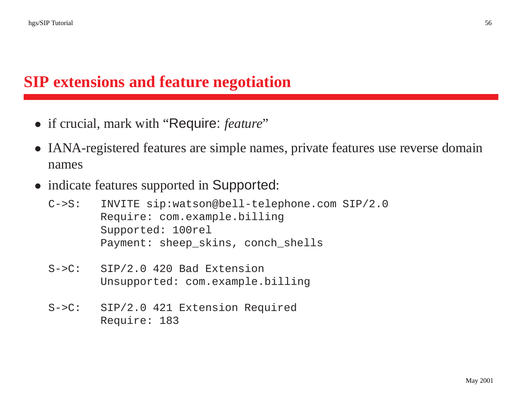#### **SIP extensions and feature negotiation**

- if crucial, mark with "Require: *feature*"
- IANA-registered features are simple names, private features use reverse domain names
- indicate features supported in Supported:
	- C->S: INVITE sip:watson@bell-telephone.com SIP/2.0 Require: com.example.billing Supported: 100rel Payment: sheep\_skins, conch\_shells
	- S->C: SIP/2.0 420 Bad Extension Unsupported: com.example.billing
	- S->C: SIP/2.0 421 Extension Required Require: 183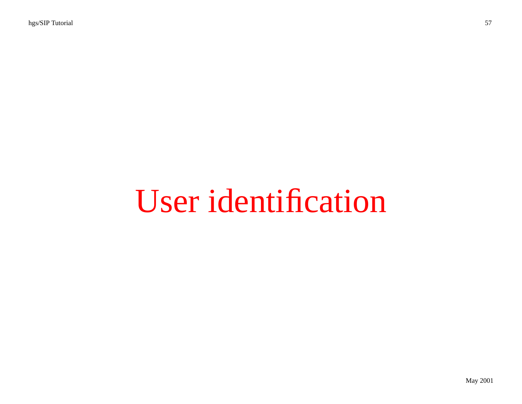# User identification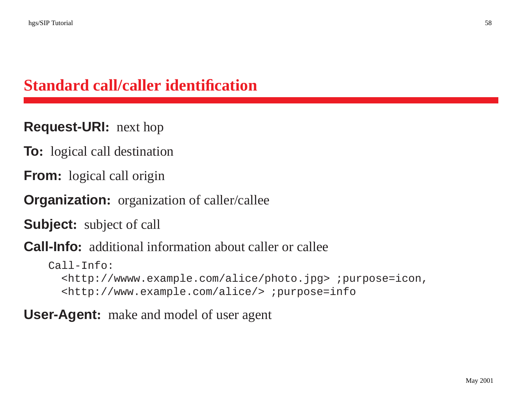#### **Standard call/caller identification**

#### **Request-URI:** next hop

**To:** logical call destination

**From:** logical call origin

**Organization:** organization of caller/callee

**Subject:** subject of call

**Call-Info:** additional information about caller or callee

```
Call-Info:
<http://wwww.example.com/alice/photo.jpg> ;purpose=icon,
<http://www.example.com/alice/> ;purpose=info
```
#### **User-Agent:** make and model of user agen<sup>t</sup>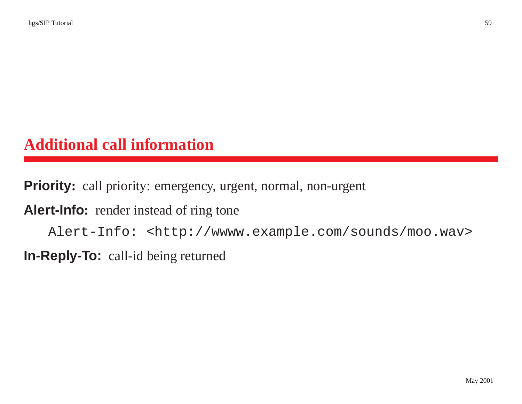#### **Additional call information**

**Priority:** call priority: emergency, urgent, normal, non-urgen<sup>t</sup>

Alert-Info: render instead of ring tone

Alert-Info: <http://wwww.example.com/sounds/moo.wav>

**In-Reply-To:** call-id being returned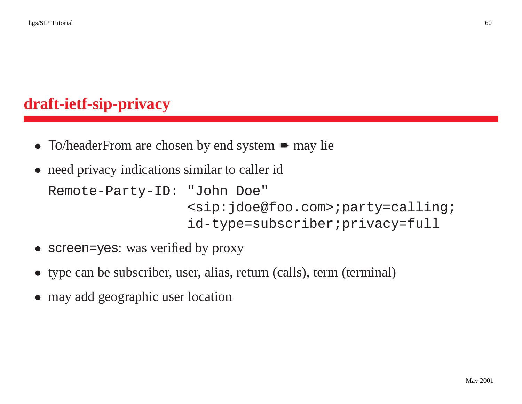#### **draft-ietf-sip-privacy**

- To/headerFrom are chosen by end system  $\blacksquare$  may lie
- need privacy indications similar to caller id

```
Remote-Party-ID: "John Doe"
               <sip:jdoe@foo.com>;party=calling;
               id-type=subscriber;privacy=full
```
- screen=yes: was verified by proxy
- type can be subscriber, user, alias, return (calls), term (terminal)
- may add geographic user location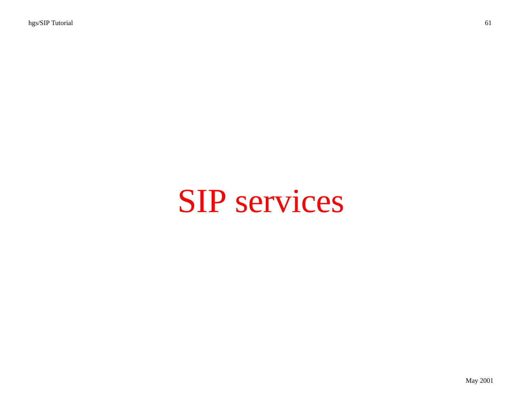## SIP services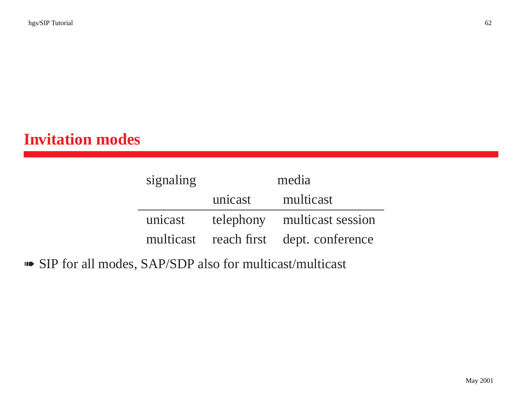#### **Invitation modes**

| signaling | media   |                                        |  |
|-----------|---------|----------------------------------------|--|
|           | unicast | multicast                              |  |
| unicast   |         | telephony multicast session            |  |
|           |         | multicast reach first dept. conference |  |

➠ SIP for all modes, SAP/SDP also for multicast/multicast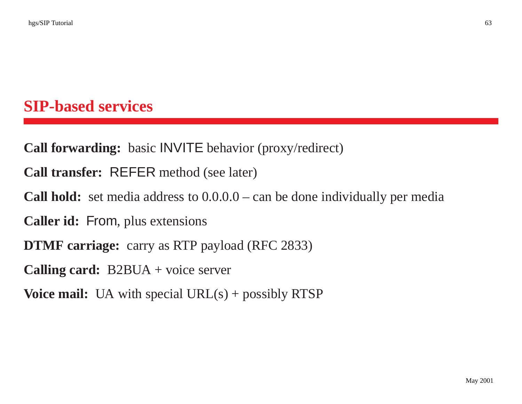#### **SIP-based services**

**Call forwarding:** basic INVITE behavior (proxy/redirect)

**Call transfer:** REFER method (see later)

**Call hold:** set media address to  $0.0.0$ .0 – can be done individually per media

**Caller id:** From, plus extensions

**DTMF** carriage: carry as RTP payload (RFC 2833)

**Calling card:** B2BUA <sup>+</sup> voice server

**Voice mail:** UA with special  $URL(s) + possibly RTSP$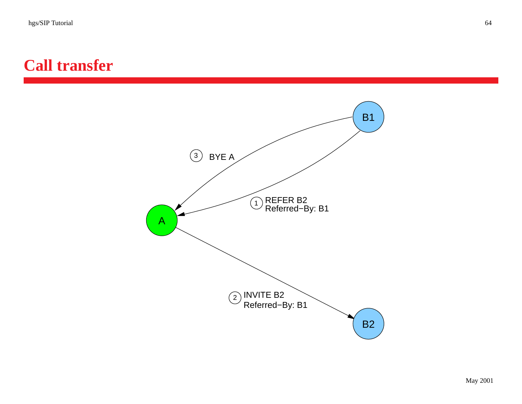#### **Call transfer**

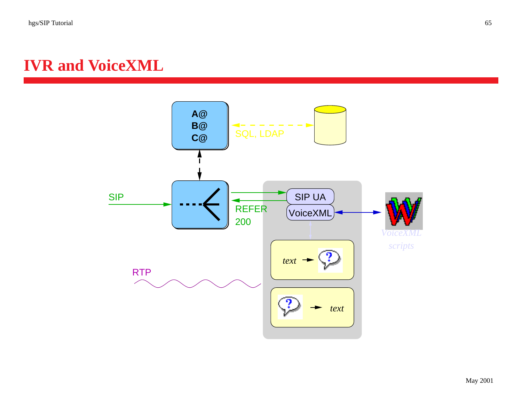#### **IVR and VoiceXML**

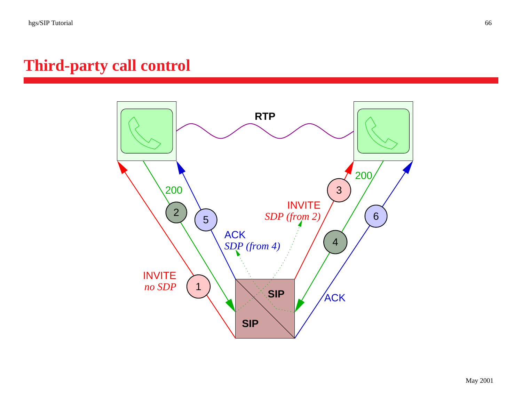#### **Third-party call control**

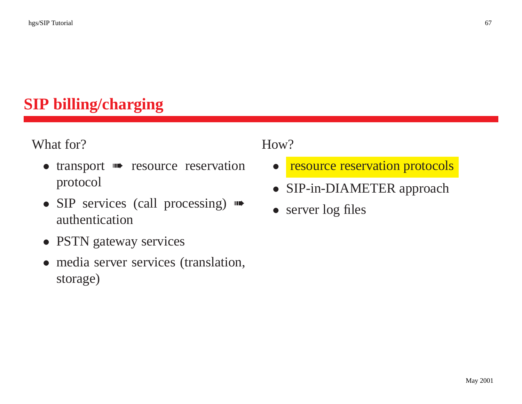### **SIP billing/charging**

What for?

- transport  $\blacksquare$  resource reservation protocol
- SIP services (call processing)  $\blacksquare$ authentication
- PSTN gateway services
- media server services (translation, storage)

#### How?

- $\bullet$ resource reservation protocols
- $\bullet$ SIP-in-DIAMETER approach
- server log files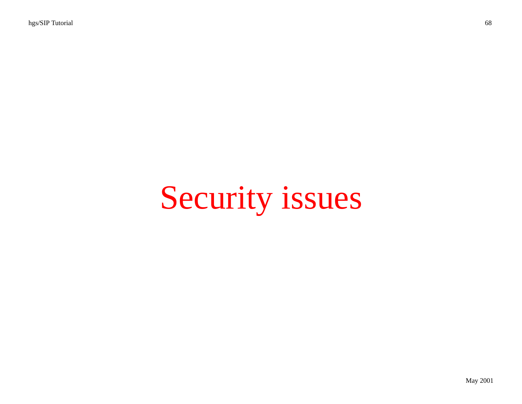# Security issues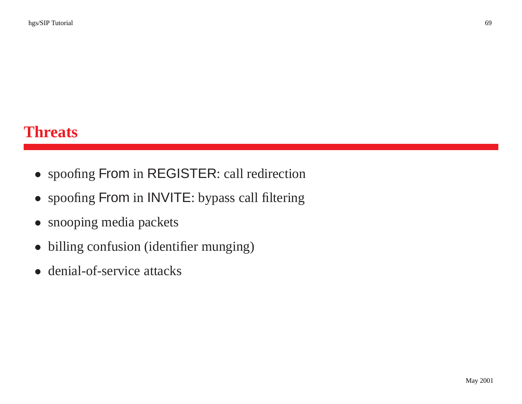#### **Threats**

- spoofing From in REGISTER: call redirection
- spoofing From in INVITE: bypass call filtering
- snooping media packets
- $\bullet$ billing confusion (identifier munging)
- denial-of-service attacks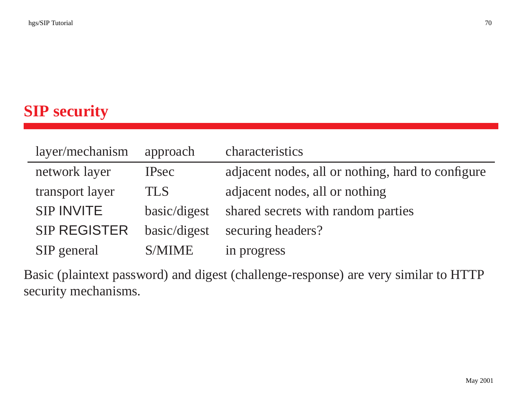### **SIP security**

| layer/mechanism     | approach      | characteristics                                   |
|---------------------|---------------|---------------------------------------------------|
| network layer       | <b>IPsec</b>  | adjacent nodes, all or nothing, hard to configure |
| transport layer     | <b>TLS</b>    | adjacent nodes, all or nothing                    |
| <b>SIP INVITE</b>   | basic/digest  | shared secrets with random parties                |
| <b>SIP REGISTER</b> | basic/digest  | securing headers?                                 |
| SIP general         | <b>S/MIME</b> | in progress                                       |

Basic (plaintext password) and digest (challenge-response) are very similar to HTTP security mechanisms.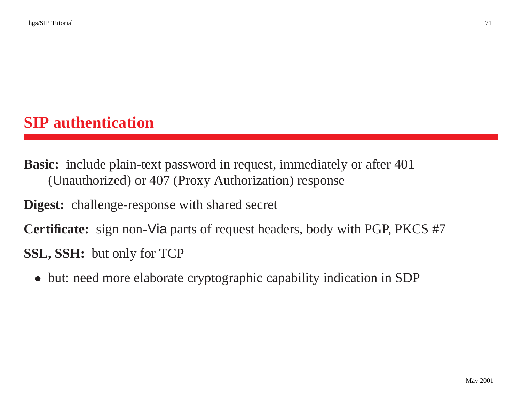#### **SIP authentication**

**Basic:** include plain-text password in request, immediately or after 401 (Unauthorized) or 407 (Proxy Authorization) response

**Digest:** challenge-response with shared secret

**Certificate:** sign non-Via parts of reques<sup>t</sup> headers, body with PGP, PKCS #7 **SSL, SSH:** but only for TCP

• but: need more elaborate cryptographic capability indication in SDP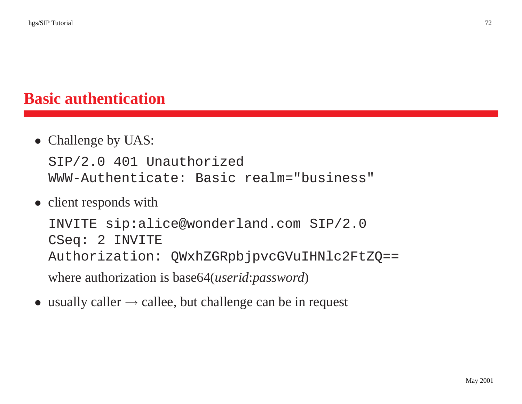#### **Basic authentication**

• Challenge by UAS:

SIP/2.0 401 Unauthorized WWW-Authenticate: Basic realm="business"

• client responds with

INVITE sip:alice@wonderland.com SIP/2.0 CSeq: 2 INVITE Authorization: QWxhZGRpbjpvcGVuIHNlc2FtZQ== where authorization is base64(*userid*:*password*)

• usually caller  $\rightarrow$  callee, but challenge can be in request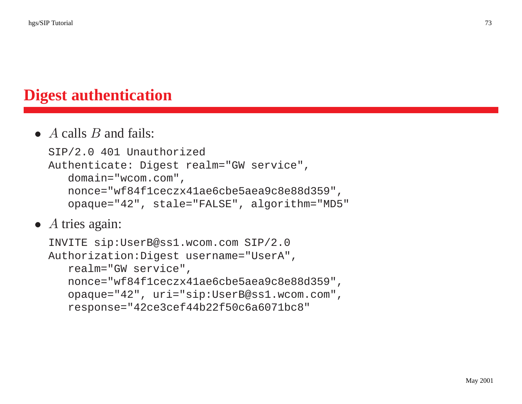# **Digest authentication**

#### •  $\overline{A}$  calls  $\overline{B}$  and fails:

```
SIP/2.0 401 Unauthorized
Authenticate: Digest realm="GW service",
   domain="wcom.com",
   nonce="wf84f1ceczx41ae6cbe5aea9c8e88d359",
   opaque="42", stale="FALSE", algorithm="MD5"
```
• A tries again:

```
INVITE sip:UserB@ss1.wcom.com SIP/2.0
Authorization:Digest username="UserA",
   realm="GW service",
   nonce="wf84f1ceczx41ae6cbe5aea9c8e88d359",
   opaque="42", uri="sip:UserB@ss1.wcom.com",
   response="42ce3cef44b22f50c6a6071bc8"
```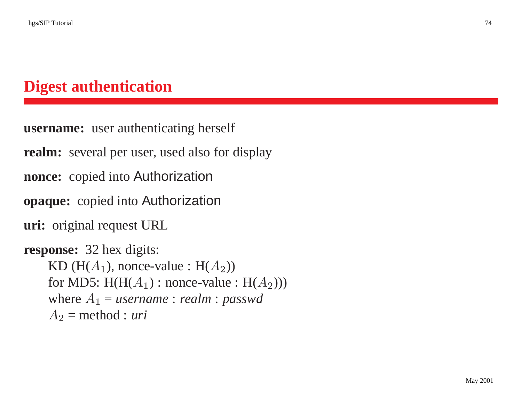# **Digest authentication**

```
username: user authenticating herself
realm: several per user, used also for display
nonce: copied into Authorization
opaque: copied into Authorization
uri: original request URL
response: 32 hex digits:
    KD (H(A_1), nonce-value : H(A_2))
    for MD5: H(H(A_1): nonce-value : H(A_2))where A_1 = username : realm : passwd
    A_2 = method : uri
```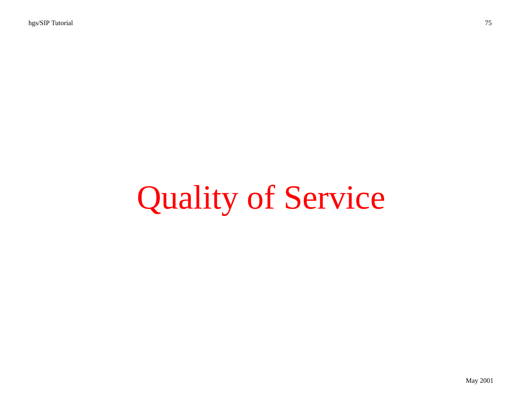# Quality of Service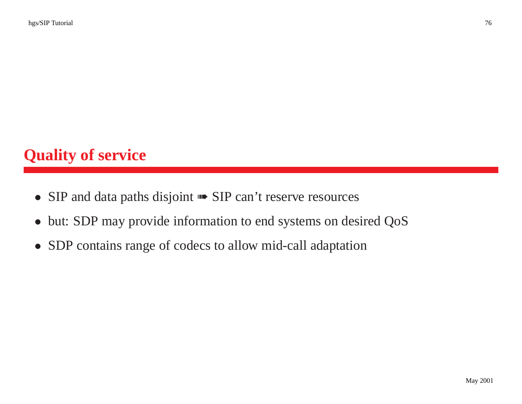# **Quality of service**

- SIP and data paths disjoint **Fourier SIP** can't reserve resources
- but: SDP may provide information to end systems on desired QoS
- SDP contains range of codecs to allow mid-call adaptation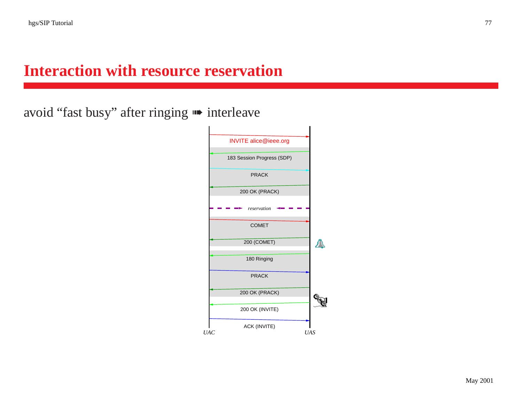## **Interaction with resource reservation**

avoid "fast busy" after ringing ➠ interleave

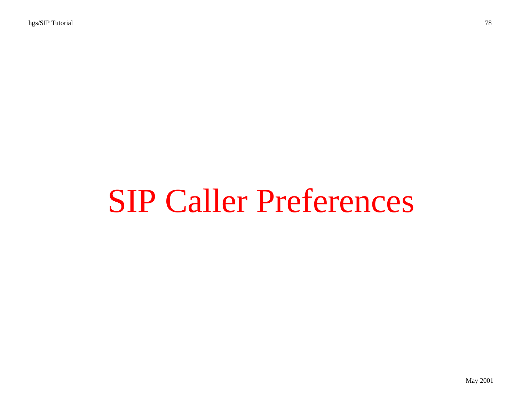# SIP Caller Preferences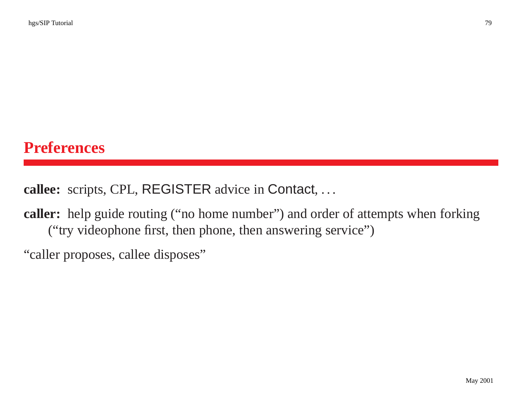#### **Preferences**

**callee:** scripts, CPL, REGISTER advice in Contact,...

**caller:** help guide routing ("no home number") and order of attempts when forking ("try videophone first, then phone, then answering service")

"caller proposes, callee disposes"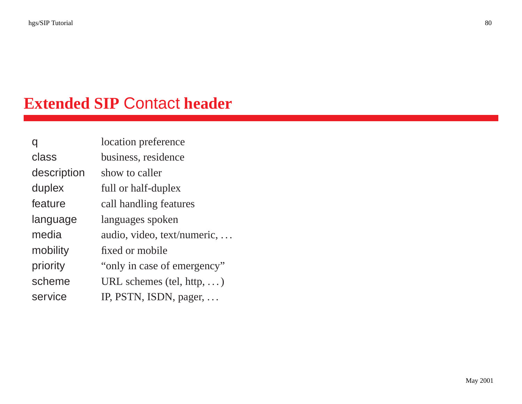# **Extended SIP** Contact **header**

|             | location preference               |  |
|-------------|-----------------------------------|--|
| class       | business, residence               |  |
| description | show to caller                    |  |
| duplex      | full or half-duplex               |  |
| feature     | call handling features            |  |
| language    | languages spoken                  |  |
| media       | audio, video, text/numeric,       |  |
| mobility    | fixed or mobile                   |  |
| priority    | "only in case of emergency"       |  |
| scheme      | URL schemes (tel, http, $\dots$ ) |  |
| service     | IP, PSTN, ISDN, pager,            |  |
|             |                                   |  |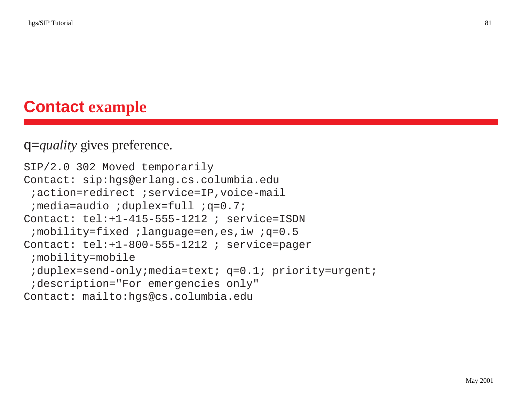# **Contact example**

#### q=*quality* gives preference.

```
SIP/2.0 302 Moved temporarily
Contact: sip:hgs@erlang.cs.columbia.edu
 ;action=redirect ;service=IP,voice-mail
 ;media=audio ;duplex=full ;q=0.7;
Contact: tel:+1-415-555-1212 ; service=ISDN
 ;mobility=fixed ;language=en,es,iw ;q=0.5
Contact: tel:+1-800-555-1212 ; service=pager
 ;mobility=mobile
 ;duplex=send-only;media=text; q=0.1; priority=urgent;
 ;description="For emergencies only"
Contact: mailto:hgs@cs.columbia.edu
```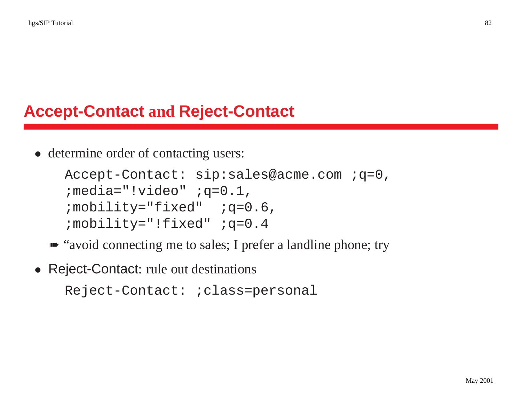# **Accept-Contact and Reject-Contact**

• determine order of contacting users:

```
Accept-Contact: sip:sales@acme.com ;q=0,
; media="!video" ; q=0.1,
; mobility="fixed" ; q=0.6,
;mobility="!fixed" ;q=0.4
```
- ➠ "avoid connecting me to sales; I prefer <sup>a</sup> landline phone; try
- Reject-Contact: rule out destinations

```
Reject-Contact: ;class=personal
```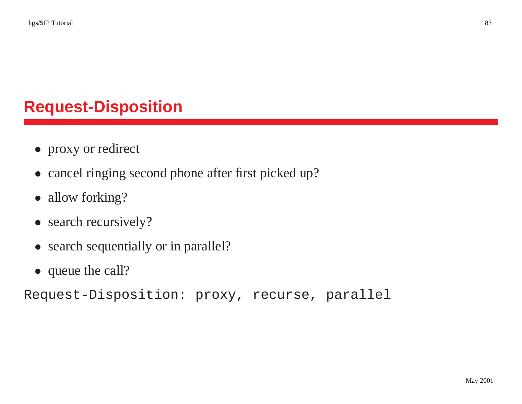# **Request-Disposition**

- proxy or redirect
- cancel ringing second phone after first picked up?
- allow forking?
- search recursively?
- search sequentially or in parallel?
- queue the call?

Request-Disposition: proxy, recurse, parallel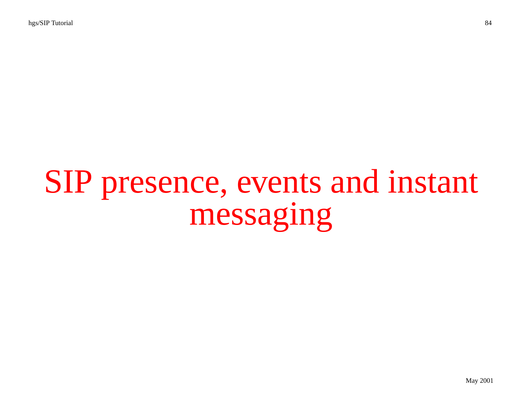# SIP presence, events and instant messaging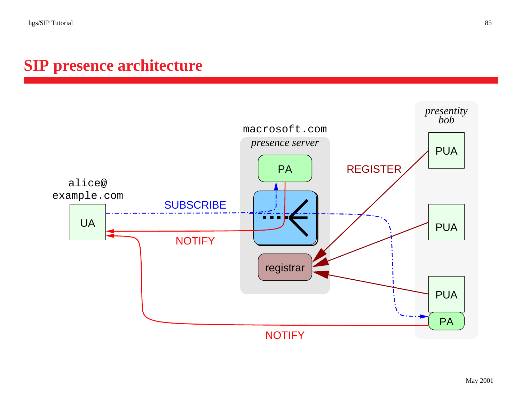# **SIP presence architecture**

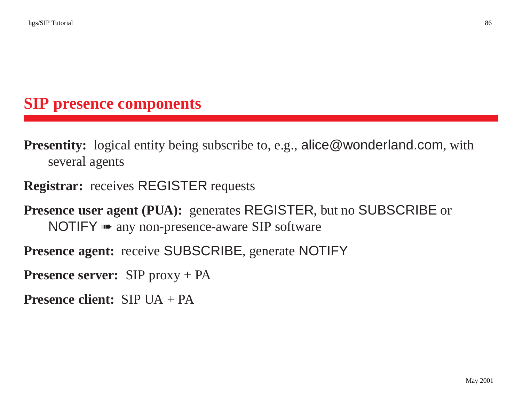# **SIP presence components**

**Presentity:** logical entity being subscribe to, e.g., alice@wonderland.com, with several agents

#### **Registrar:** receives REGISTER requests

**Presence user agent (PUA):** generates REGISTER, but no SUBSCRIBE or NOTIFY **••** any non-presence-aware SIP software

**Presence agent:** receive SUBSCRIBE, generate NOTIFY

**Presence server:** SIP proxy + PA

**Presence client:** SIP UA + PA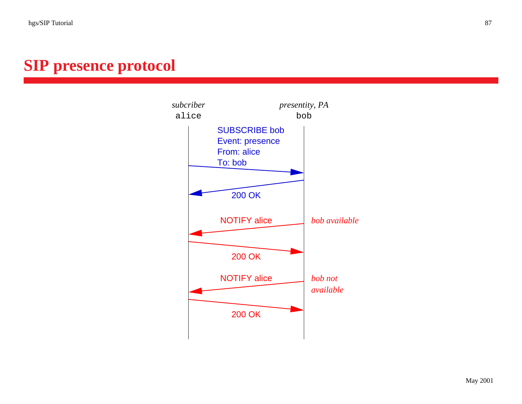# **SIP presence protocol**

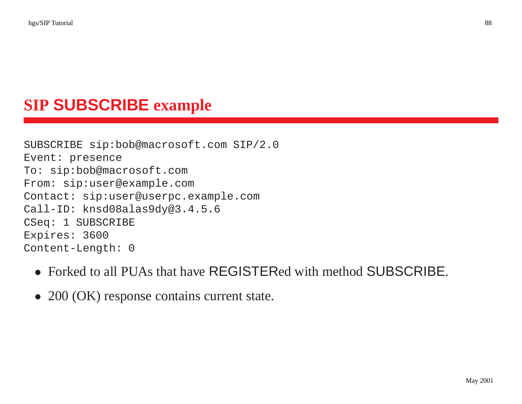# **SIP SUBSCRIBE example**

SUBSCRIBE sip:bob@macrosoft.com SIP/2.0 Event: presence To: sip:bob@macrosoft.com From: sip:user@example.com Contact: sip:user@userpc.example.com Call-ID: knsd08alas9dy@3.4.5.6 CSeq: 1 SUBSCRIBE Expires: 3600 Content-Length: 0

- Forked to all PUAs that have REGISTERed with method SUBSCRIBE.
- 200 (OK) response contains current state.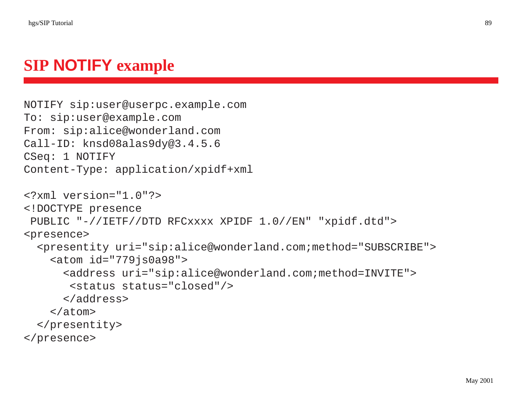# **SIP NOTIFY example**

```
NOTIFY sip:user@userpc.example.com
To: sip:user@example.com
From: sip:alice@wonderland.com
Call-ID: knsd08alas9dy@3.4.5.6
CSeq: 1 NOTIFY
Content-Type: application/xpidf+xml
<?xml version="1.0"?>
<!DOCTYPE presence
 PUBLIC "-//IETF//DTD RFCxxxx XPIDF 1.0//EN" "xpidf.dtd">
<presence>
  <presentity uri="sip:alice@wonderland.com;method="SUBSCRIBE">
    <atom id="779js0a98">
      <address uri="sip:alice@wonderland.com;method=INVITE">
       <status status="closed"/>
      </address>
    </atom>
  </presentity>
</presence>
```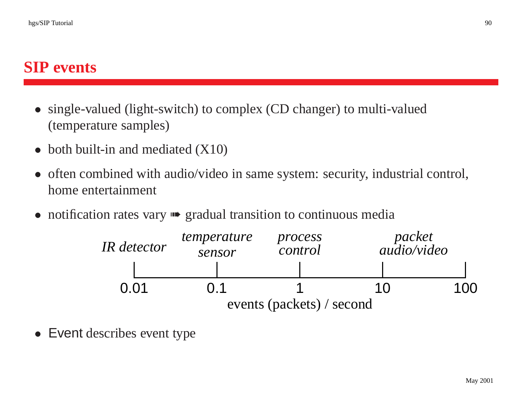#### **SIP events**

- single-valued (light-switch) to complex (CD changer) to multi-valued (temperature samples)
- both built-in and mediated (X10)
- often combined with audio/video in same system: security, industrial control, home entertainment
- notification rates vary **••** gradual transition to continuous media



• Event describes event type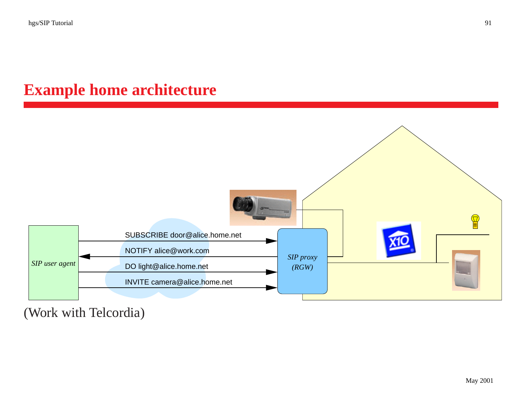# **Example home architecture**



(Work with Telcordia)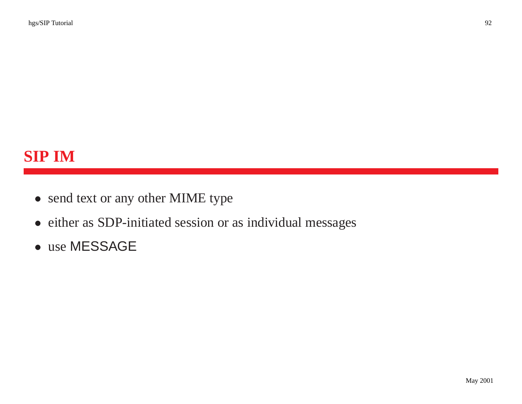- send text or any other MIME type
- either as SDP-initiated session or as individual messages
- use MESSAGE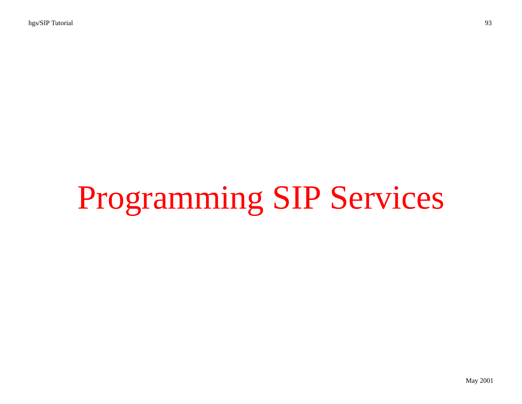# Programming SIP Services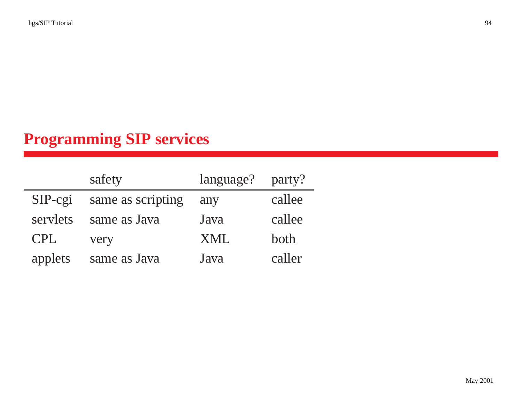# **Programming SIP services**

| safety     |                   | language? | party? |
|------------|-------------------|-----------|--------|
| $SIP-cgi$  | same as scripting | any       | callee |
| servlets   | same as Java      | Java      | callee |
| <b>CPL</b> | very              | XML       | both   |
| applets    | same as Java      | Java      | caller |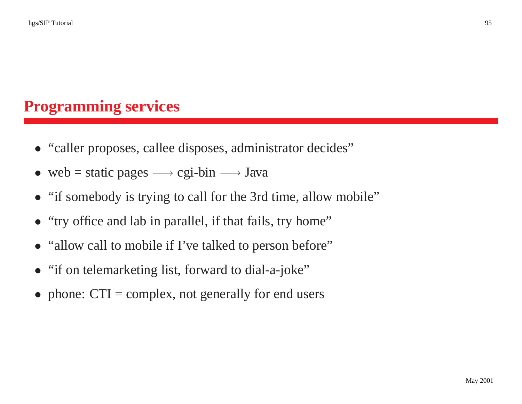## **Programming services**

- "caller proposes, callee disposes, administrator decides"
- web = static pages  $\longrightarrow$  cgi-bin  $\longrightarrow$  Java
- "if somebody is trying to call for the 3rd time, allow mobile"
- "try office and lab in parallel, if that fails, try home"
- "allow call to mobile if I've talked to person before"
- "if on telemarketing list, forward to dial-a-joke"
- phone: CTI = complex, not generally for end users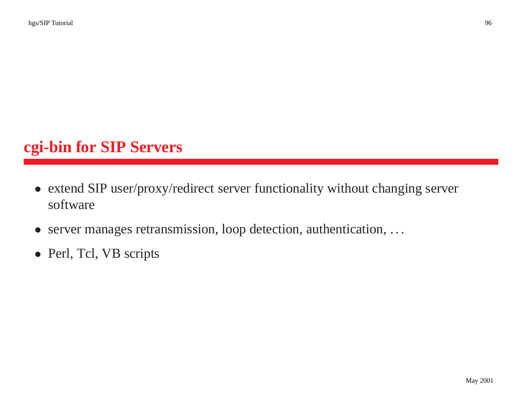# **cgi-bin for SIP Servers**

- extend SIP user/proxy/redirect server functionality without changing server software
- server manages retransmission, loop detection, authentication, . . .
- Perl, Tcl, VB scripts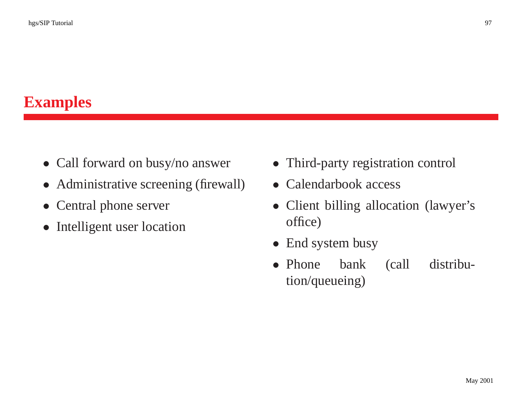# **Examples**

- Call forward on busy/no answer
- Administrative screening (firewall)
- Central phone server
- Intelligent user location
- Third-party registration control
- Calendarbook access
- Client billing allocation (lawyer's office)
- $\bullet$ End system busy
- $\bullet$  Phone bank (call distribution/queueing)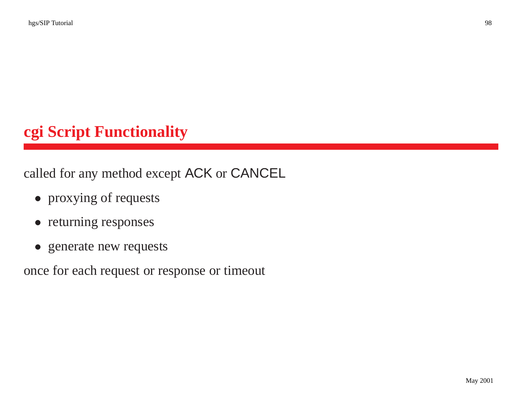# **cgi Script Functionality**

called for any method excep<sup>t</sup> ACK or CANCEL

- proxying of requests
- returning responses
- generate new requests

once for each reques<sup>t</sup> or response or timeout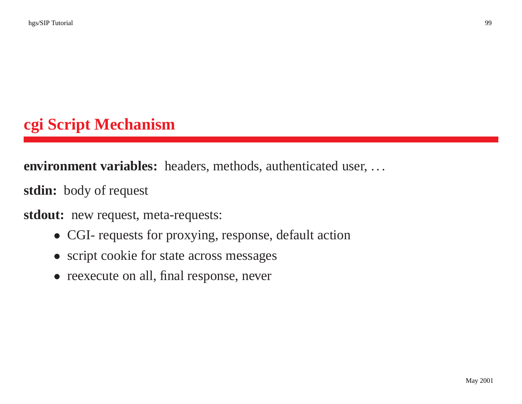# **cgi Script Mechanism**

**environment variables:** headers, methods, authenticated user, . . .

**stdin:** body of reques<sup>t</sup>

**stdout:** new request, meta-requests:

- CGI- requests for proxying, response, default action
- script cookie for state across messages
- reexecute on all, final response, never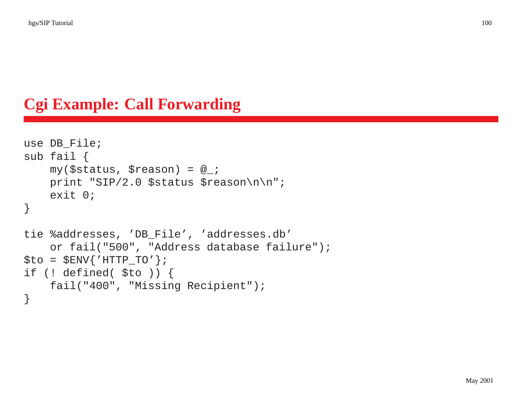# **Cgi Example: Call Forwarding**

```
use DB_File;
sub fail {
    my($status, $reason) = @_;
    print "SIP/2.0 $status $reason\n\n";
    exit 0;
}
tie %addresses, 'DB_File', 'addresses.db'
    or fail("500", "Address database failure");
$to = $ENV{'HTTP_TO'};
if (! defined( $to )) {
    fail("400", "Missing Recipient");
}
```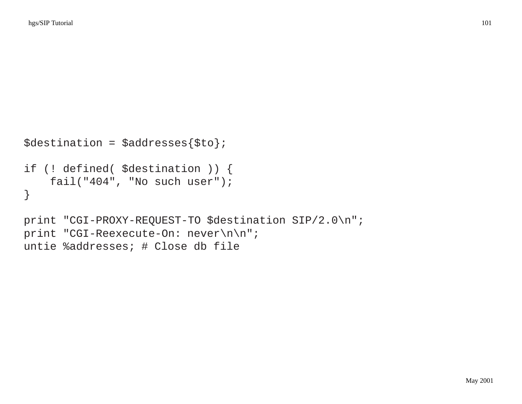```
$destination = $addresses{$to};
if (! defined( $destination )) {
    fail("404", "No such user");
}
print "CGI-PROXY-REQUEST-TO $destination SIP/2.0\n";
print "CGI-Reexecute-On: never\n\n";
```
untie %addresses; # Close db file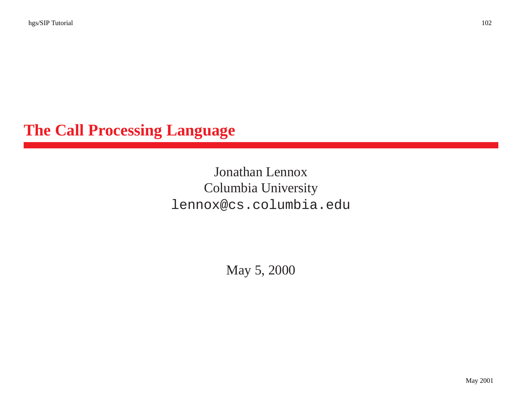# **The Call Processing Language**

#### Jonathan Lennox Columbia University lennox@cs.columbia.edu

May 5, 2000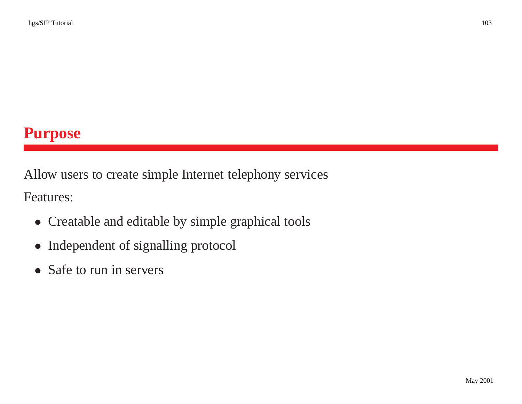Allow users to create simple Internet telephony services

Features:

- Creatable and editable by simple graphical tools
- Independent of signalling protocol
- Safe to run in servers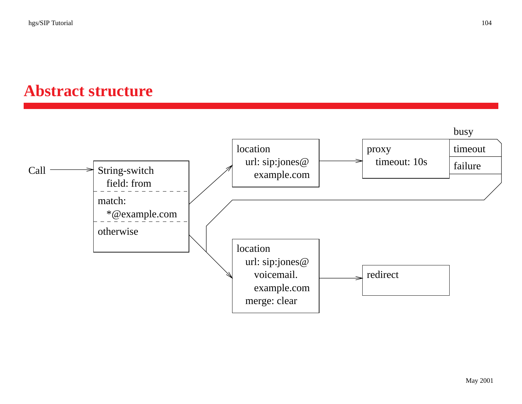# **Abstract structure**

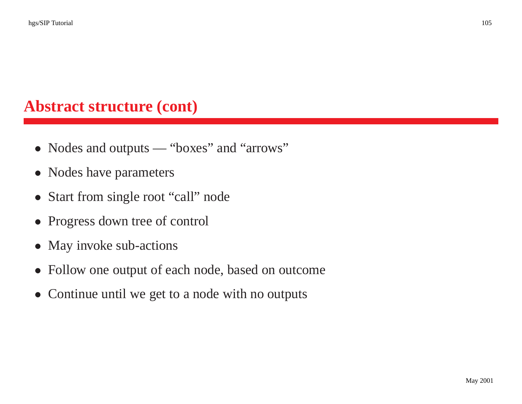#### **Abstract structure (cont)**

- Nodes and outputs "boxes" and "arrows"
- Nodes have parameters
- Start from single root "call" node
- Progress down tree of control
- May invoke sub-actions
- Follow one output of each node, based on outcome
- Continue until we get to a node with no outputs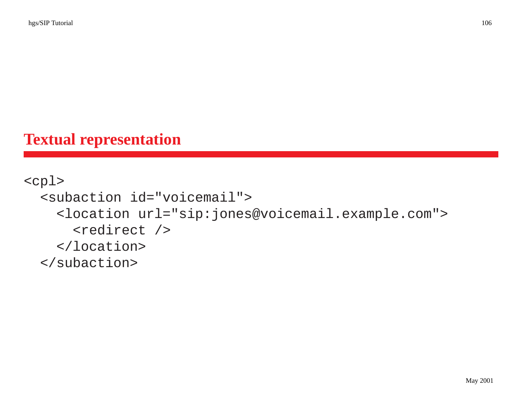# **Textual representation**

#### <cpl> <subaction id="voicemail"> <location url="sip:jones@voicemail.example.com"> <redirect /> </location> </subaction>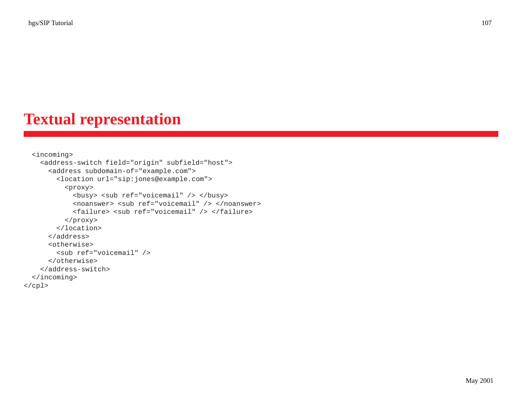# **Textual representation**

```
<incoming>
    <address-switch field="origin" subfield="host">
      <address subdomain-of="example.com">
        <location url="sip:jones@example.com">
          <proxy>
            <busy> <sub ref="voicemail" /> </busy>
            <noanswer> <sub ref="voicemail" /> </noanswer>
            <failure> <sub ref="voicemail" /> </failure>
          </proxy>
        </location>
      </address>
      <otherwise>
        <sub ref="voicemail" />
      </otherwise>
    </address-switch>
 </incoming>
</cpl>
```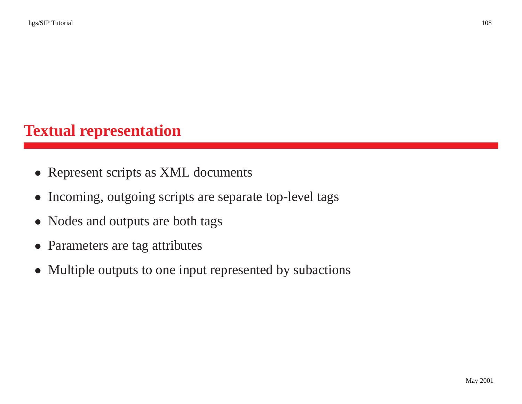# **Textual representation**

- Represent scripts as XML documents
- Incoming, outgoing scripts are separate top-level tags
- Nodes and outputs are both tags
- Parameters are tag attributes
- Multiple outputs to one input represented by subactions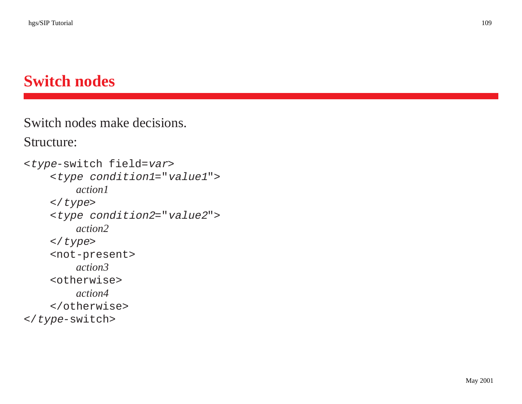## **Switch nodes**

Switch nodes make decisions.

Structure:

```
<type-switch field=var>
    <type condition1="value1">
        action1
    </type>
    <type condition2="value2">
        action2
    </type>
    <not-present>
        action3
    <otherwise>
        action4
    </otherwise>
</type-switch>
```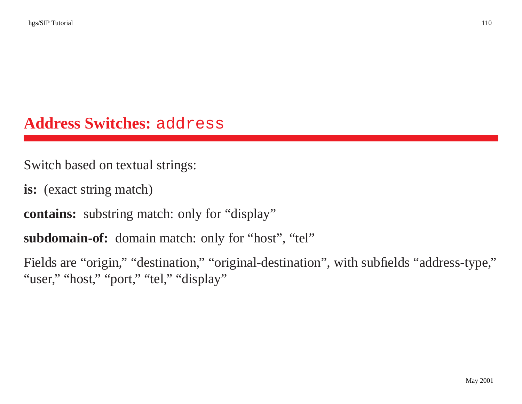## **Address Switches:** address

Switch based on textual strings:

**is:** (exact string match)

**contains:** substring match: only for "display"

**subdomain-of:** domain match: only for "host", "tel"

Fields are "origin," "destination," "original-destination", with subfields "address-type," "user," "host," "port," "tel," "display"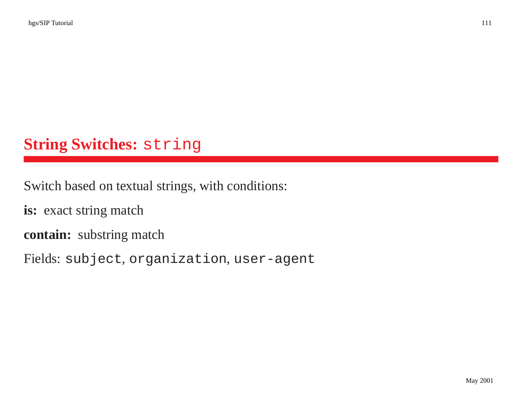# **String Switches:** string

Switch based on textual strings, with conditions:

**is:** exact string match

**contain:** substring match

Fields: subject, organization, user-agent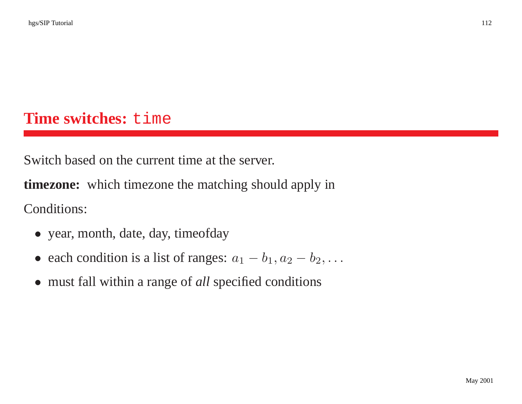## **Time switches:** time

Switch based on the current time at the server.

**timezone:** which timezone the matching should apply in Conditions:

- year, month, date, day, timeofday
- each condition is a list of ranges:  $a_1 b_1, a_2 b_2, \ldots$
- must fall within <sup>a</sup> range of *all* specified conditions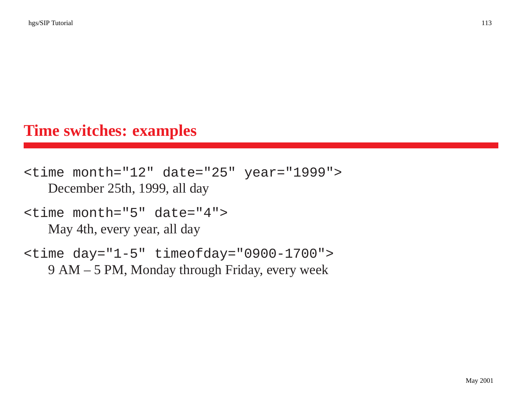## **Time switches: examples**

```
<time month="12" date="25" year="1999">
   December 25th, 1999, all day
```

```
<time month="5" date="4">
   May 4th, every year, all day
```

```
<time day="1-5" timeofday="0900-1700">
   9 AM – 5 PM, Monday through Friday, every week
```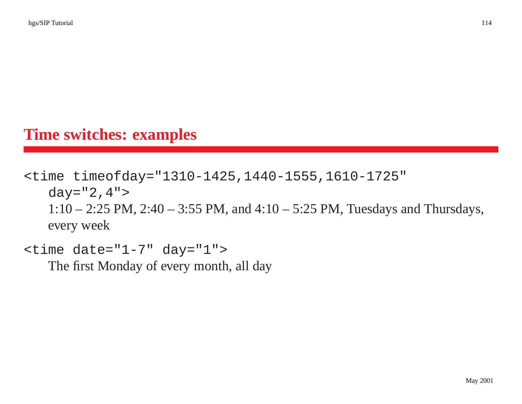## **Time switches: examples**

```
<time timeofday="1310-1425,1440-1555,1610-1725"
   day="2,4">1:10 – 2:25 PM, 2:40 – 3:55 PM, and 4:10 – 5:25 PM, Tuesdays and Thursdays,
   every week
```

```
\tt <time date="1-7" day="1">
```
The first Monday of every month, all day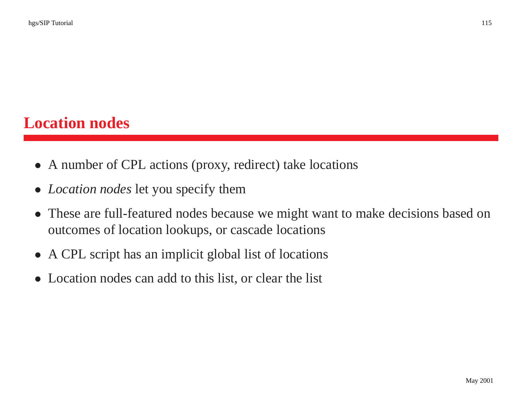## **Location nodes**

- A number of CPL actions (proxy, redirect) take locations
- *Location nodes* let you specify them
- These are full-featured nodes because we might want to make decisions based on outcomes of location lookups, or cascade locations
- A CPL script has an implicit global list of locations
- Location nodes can add to this list, or clear the list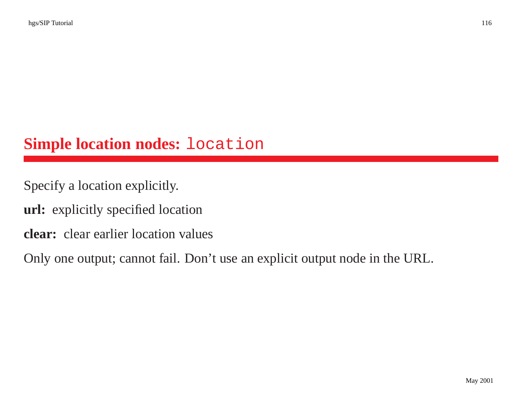## **Simple location nodes:** location

Specify <sup>a</sup> location explicitly.

**url:** explicitly specified location

**clear:** clear earlier location values

Only one output; cannot fail. Don't use an explicit output node in the URL.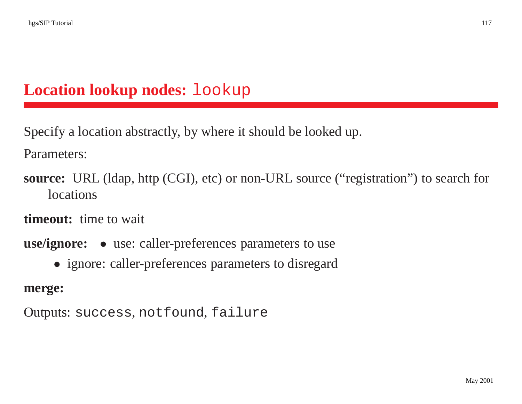# **Location lookup nodes:** lookup

Specify <sup>a</sup> location abstractly, by where it should be looked up.

Parameters:

**source:** URL (ldap, http (CGI), etc) or non-URL source ("registration") to search for **locations** 

**timeout:** time to wait

**use/ignore:** • use: caller-preferences parameters to use

• ignore: caller-preferences parameters to disregard

**merge:**

Outputs: success, notfound, failure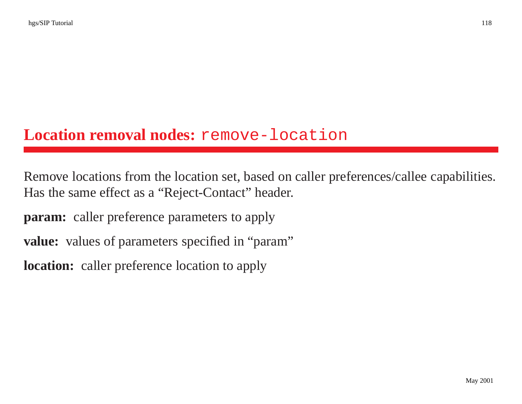## **Location removal nodes:** remove-location

Remove locations from the location set, based on caller preferences/callee capabilities. Has the same effect as <sup>a</sup> "Reject-Contact" header.

**param:** caller preference parameters to apply

value: values of parameters specified in "param"

**location:** caller preference location to apply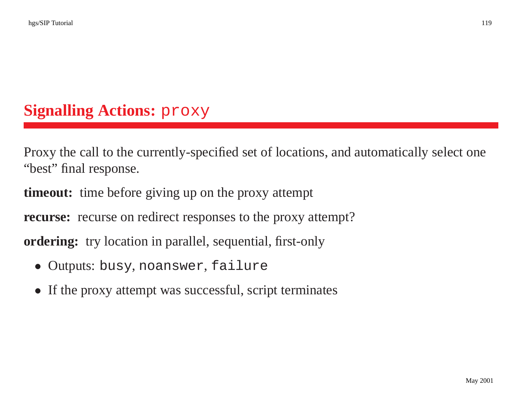# **Signalling Actions:** proxy

Proxy the call to the currently-specified set of locations, and automatically select one "best" final response.

**timeout:** time before giving up on the proxy attempt

**recurse:** recurse on redirect responses to the proxy attempt?

**ordering:** try location in parallel, sequential, first-only

- Outputs: busy, noanswer, failure
- If the proxy attempt was successful, script terminates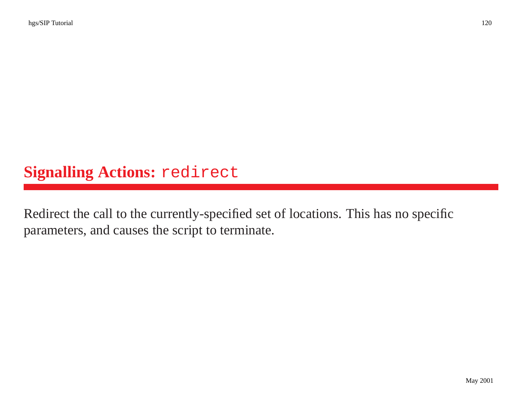# **Signalling Actions:** redirect

Redirect the call to the currently-specified set of locations. This has no specific parameters, and causes the script to terminate.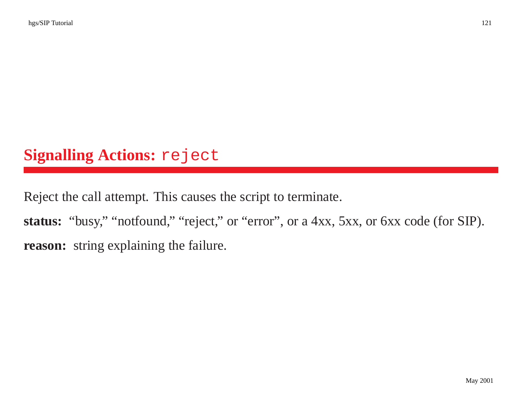# **Signalling Actions:** reject

Reject the call attempt. This causes the script to terminate.

status: "busy," "notfound," "reject," or "error", or a 4xx, 5xx, or 6xx code (for SIP). **reason:** string explaining the failure.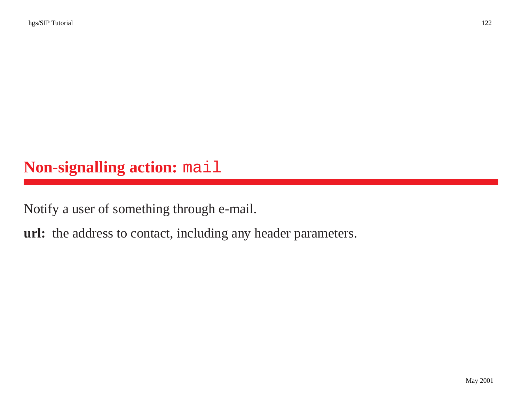## **Non-signalling action:** mail

Notify <sup>a</sup> user of something through e-mail.

**url:** the address to contact, including any header parameters.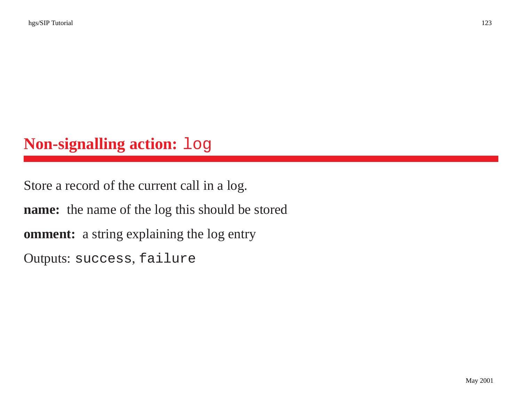## **Non-signalling action:** log

Store <sup>a</sup> record of the current call in <sup>a</sup> log. **name:** the name of the log this should be stored **omment:** <sup>a</sup> string explaining the log entry Outputs: success, failure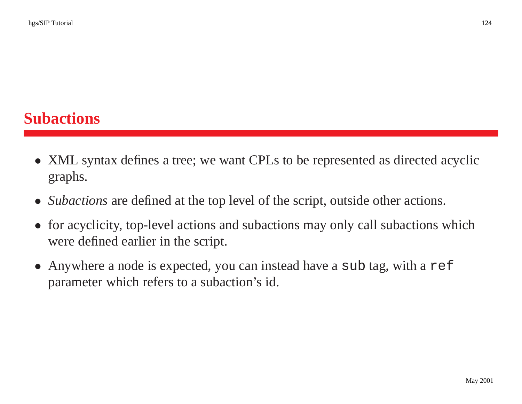- XML syntax defines <sup>a</sup> tree; we want CPLs to be represented as directed acyclic graphs.
- *Subactions* are defined at the top level of the script, outside other actions.
- for acyclicity, top-level actions and subactions may only call subactions which were defined earlier in the script.
- Anywhere a node is expected, you can instead have a sub tag, with a ref parameter which refers to <sup>a</sup> subaction's id.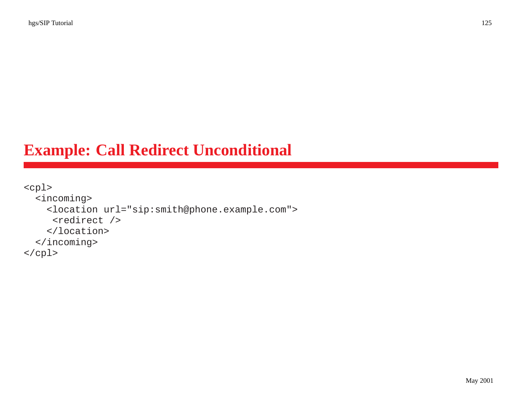## **Example: Call Redirect Unconditional**

```
<cpl>
 <incoming>
    <location url="sip:smith@phone.example.com">
     <redirect />
    </location>
 </incoming>
</cpl>
```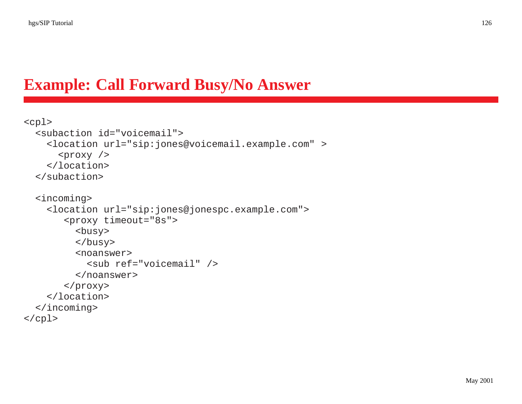# **Example: Call Forward Busy/No Answer**

```
<cpl>
  <subaction id="voicemail">
    <location url="sip:jones@voicemail.example.com" >
      <proxy />
    </location>
 </subaction>
  <incoming>
    <location url="sip:jones@jonespc.example.com">
       <proxy timeout="8s">
         <busy>
         </busy>
         <noanswer>
           <sub ref="voicemail" />
         </noanswer>
       </proxy>
    </location>
  </incoming>
</cpl>
```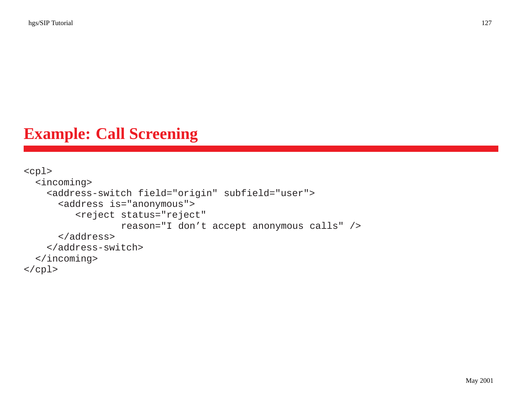## **Example: Call Screening**

```
<cpl>
 <incoming>
    <address-switch field="origin" subfield="user">
      <address is="anonymous">
         <reject status="reject"
                 reason="I don't accept anonymous calls" />
      </address>
    </address-switch>
 </incoming>
</cpl>
```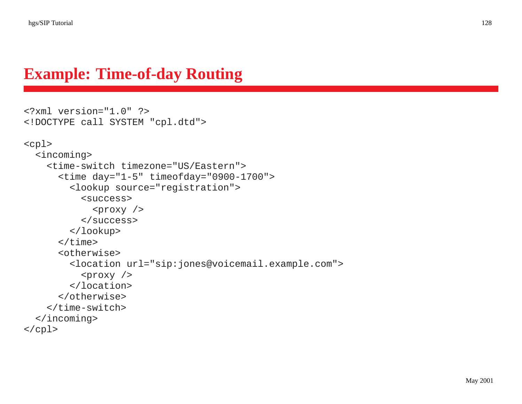#### **Example: Time-of-day Routing**

```
<?xml version="1.0" ?>
<!DOCTYPE call SYSTEM "cpl.dtd">
<cpl>
 <incoming>
    <time-switch timezone="US/Eastern">
      <time day="1-5" timeofday="0900-1700">
        <lookup source="registration">
          <success>
            <proxy /</success>
        </lookup>
      </time>
      <otherwise>
        <location url="sip:jones@voicemail.example.com">
          <proxy />
        </location>
      </otherwise>
    </time-switch>
  </incoming>
</cpl>
```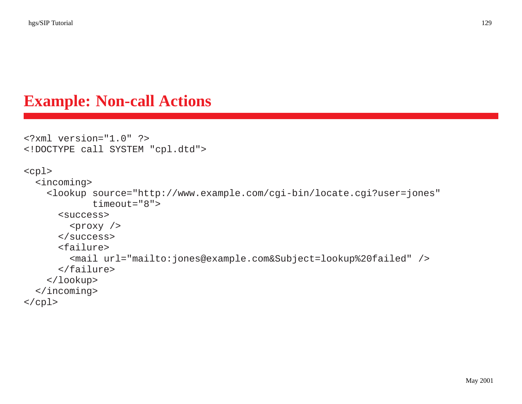#### **Example: Non-call Actions**

```
<?xml version="1.0" ?>
<!DOCTYPE call SYSTEM "cpl.dtd">
<cpl>
 <incoming>
    <lookup source="http://www.example.com/cgi-bin/locate.cgi?user=jones"
            timeout="8">
      <success>
        <proxy />
      </success>
      <failure>
        <mail url="mailto:jones@example.com&Subject=lookup%20failed" />
      </failure>
    </lookup>
 </incoming>
</cpl>
```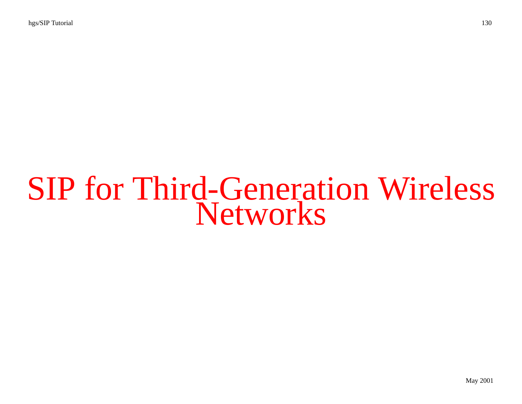# SIP for Third-Generation Wireless **Networks**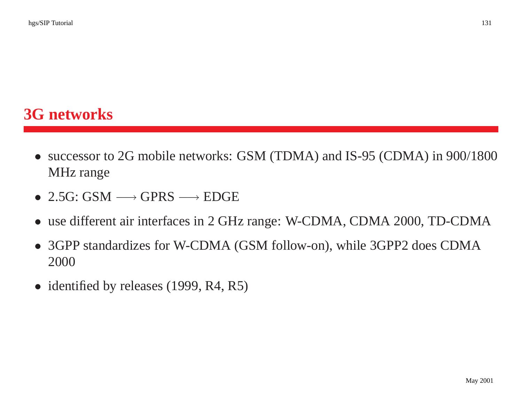## **3G networks**

- successor to 2G mobile networks: GSM (TDMA) and IS-95 (CDMA) in 900/1800 MHz range
- 2.5G: GSM  $\longrightarrow$  GPRS  $\longrightarrow$  EDGE
- use different air interfaces in 2 GHz range: W-CDMA, CDMA 2000, TD-CDMA
- 3GPP standardizes for W-CDMA (GSM follow-on), while 3GPP2 does CDMA 2000
- identified by releases (1999, R4, R5)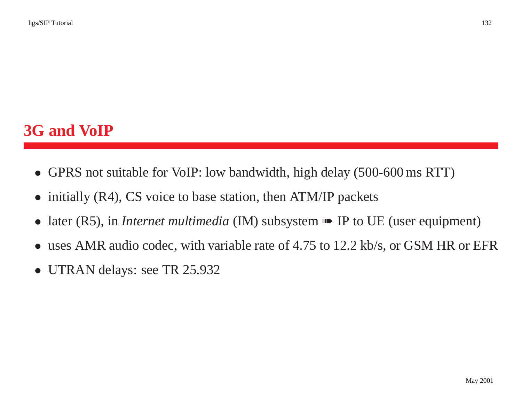# **3G and VoIP**

- GPRS not suitable for VoIP: low bandwidth, high delay (500-600 ms RTT)
- initially (R4), CS voice to base station, then ATM/IP packets
- $\bullet$ later (R5), in *Internet multimedia* (IM) subsystem ➠ IP to UE (user equipment)
- $\bullet$ uses AMR audio codec, with variable rate of 4.75 to 12.2 kb/s, or GSM HR or EFR
- •UTRAN delays: see TR 25.932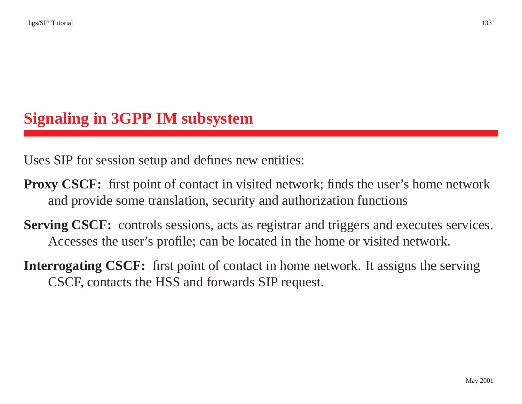## **Signaling in 3GPP IM subsystem**

Uses SIP for session setup and defines new entities:

- **Proxy CSCF:** first point of contact in visited network; finds the user's home network and provide some translation, security and authorization functions
- **Serving CSCF:** controls sessions, acts as registrar and triggers and executes services. Accesses the user's profile; can be located in the home or visited network.
- **Interrogating CSCF:** first point of contact in home network. It assigns the serving CSCF, contacts the HSS and forwards SIP request.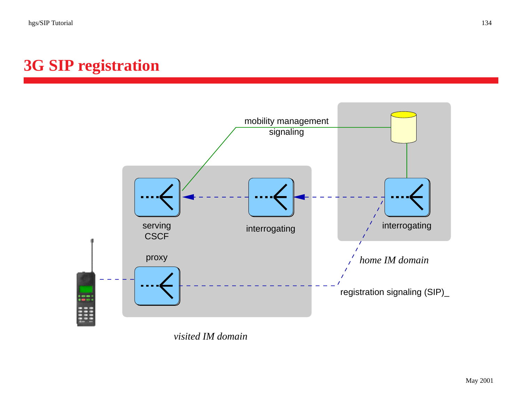# **3G SIP registration**



*visited IM domain*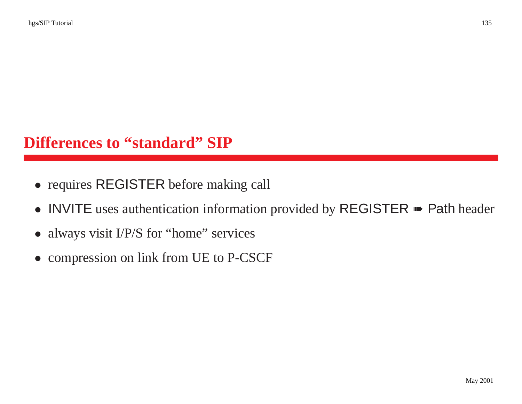## **Differences to "standard" SIP**

- requires REGISTER before making call
- INVITE uses authentication information provided by REGISTER **•••** Path header
- always visit I/P/S for "home" services
- compression on link from UE to P-CSCF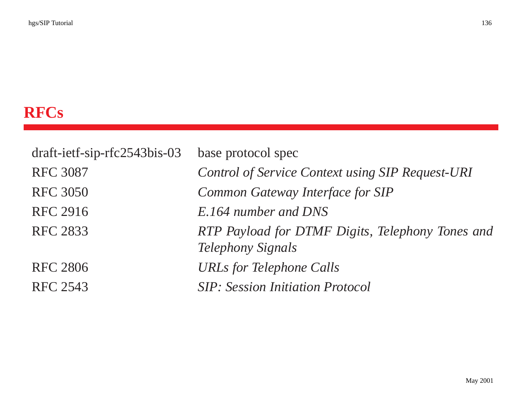# **RFCs**

| $dr$ aft-ietf-sip-rfc2543bis-03 | base protocol spec                                                           |
|---------------------------------|------------------------------------------------------------------------------|
| <b>RFC 3087</b>                 | Control of Service Context using SIP Request-URI                             |
| <b>RFC 3050</b>                 | Common Gateway Interface for SIP                                             |
| RFC 2916                        | E.164 number and DNS                                                         |
| <b>RFC 2833</b>                 | RTP Payload for DTMF Digits, Telephony Tones and<br><b>Telephony Signals</b> |
| <b>RFC 2806</b>                 | <b>URLs for Telephone Calls</b>                                              |
| RFC 2543                        | <b>SIP</b> : Session Initiation Protocol                                     |